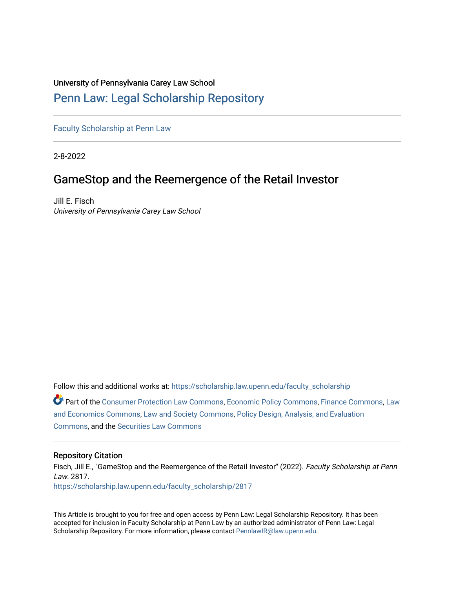# University of Pennsylvania Carey Law School

# [Penn Law: Legal Scholarship Repository](https://scholarship.law.upenn.edu/)

[Faculty Scholarship at Penn Law](https://scholarship.law.upenn.edu/faculty_scholarship)

2-8-2022

# GameStop and the Reemergence of the Retail Investor

Jill E. Fisch University of Pennsylvania Carey Law School

Follow this and additional works at: [https://scholarship.law.upenn.edu/faculty\\_scholarship](https://scholarship.law.upenn.edu/faculty_scholarship?utm_source=scholarship.law.upenn.edu%2Ffaculty_scholarship%2F2817&utm_medium=PDF&utm_campaign=PDFCoverPages)  Part of the [Consumer Protection Law Commons,](http://network.bepress.com/hgg/discipline/838?utm_source=scholarship.law.upenn.edu%2Ffaculty_scholarship%2F2817&utm_medium=PDF&utm_campaign=PDFCoverPages) [Economic Policy Commons](http://network.bepress.com/hgg/discipline/1025?utm_source=scholarship.law.upenn.edu%2Ffaculty_scholarship%2F2817&utm_medium=PDF&utm_campaign=PDFCoverPages), [Finance Commons](http://network.bepress.com/hgg/discipline/345?utm_source=scholarship.law.upenn.edu%2Ffaculty_scholarship%2F2817&utm_medium=PDF&utm_campaign=PDFCoverPages), [Law](http://network.bepress.com/hgg/discipline/612?utm_source=scholarship.law.upenn.edu%2Ffaculty_scholarship%2F2817&utm_medium=PDF&utm_campaign=PDFCoverPages) [and Economics Commons,](http://network.bepress.com/hgg/discipline/612?utm_source=scholarship.law.upenn.edu%2Ffaculty_scholarship%2F2817&utm_medium=PDF&utm_campaign=PDFCoverPages) [Law and Society Commons,](http://network.bepress.com/hgg/discipline/853?utm_source=scholarship.law.upenn.edu%2Ffaculty_scholarship%2F2817&utm_medium=PDF&utm_campaign=PDFCoverPages) [Policy Design, Analysis, and Evaluation](http://network.bepress.com/hgg/discipline/1032?utm_source=scholarship.law.upenn.edu%2Ffaculty_scholarship%2F2817&utm_medium=PDF&utm_campaign=PDFCoverPages) [Commons](http://network.bepress.com/hgg/discipline/1032?utm_source=scholarship.law.upenn.edu%2Ffaculty_scholarship%2F2817&utm_medium=PDF&utm_campaign=PDFCoverPages), and the [Securities Law Commons](http://network.bepress.com/hgg/discipline/619?utm_source=scholarship.law.upenn.edu%2Ffaculty_scholarship%2F2817&utm_medium=PDF&utm_campaign=PDFCoverPages) 

# Repository Citation

Fisch, Jill E., "GameStop and the Reemergence of the Retail Investor" (2022). Faculty Scholarship at Penn Law. 2817. [https://scholarship.law.upenn.edu/faculty\\_scholarship/2817](https://scholarship.law.upenn.edu/faculty_scholarship/2817?utm_source=scholarship.law.upenn.edu%2Ffaculty_scholarship%2F2817&utm_medium=PDF&utm_campaign=PDFCoverPages)

This Article is brought to you for free and open access by Penn Law: Legal Scholarship Repository. It has been accepted for inclusion in Faculty Scholarship at Penn Law by an authorized administrator of Penn Law: Legal Scholarship Repository. For more information, please contact [PennlawIR@law.upenn.edu.](mailto:PennlawIR@law.upenn.edu)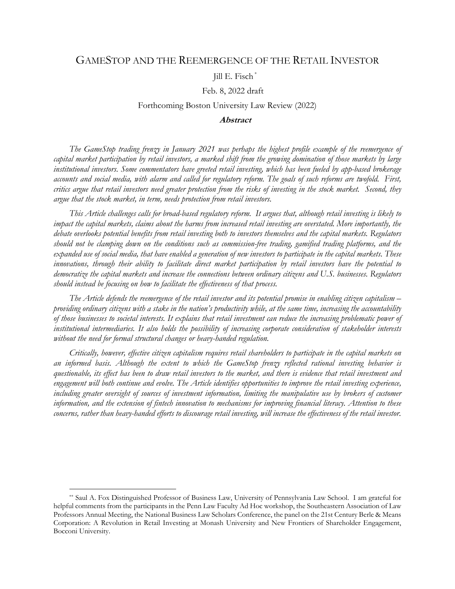# GAMESTOP AND THE REEMERGENCE OF THE RETAIL INVESTOR

### Jill E. Fisch \*

#### Feb. 8, 2022 draft

### Forthcoming Boston University Law Review (2022)

## **Abstract**

*The GameStop trading frenzy in January 2021 was perhaps the highest profile example of the reemergence of capital market participation by retail investors, a marked shift from the growing domination of those markets by large institutional investors. Some commentators have greeted retail investing, which has been fueled by app-based brokerage accounts and social media, with alarm and called for regulatory reform. The goals of such reforms are twofold. First, critics argue that retail investors need greater protection from the risks of investing in the stock market. Second, they argue that the stock market, in term, needs protection from retail investors.* 

*This Article challenges calls for broad-based regulatory reform. It argues that, although retail investing is likely to impact the capital markets, claims about the harms from increased retail investing are overstated. More importantly, the debate overlooks potential benefits from retail investing both to investors themselves and the capital markets. Regulators should not be clamping down on the conditions such as commission-free trading, gamified trading platforms, and the expanded use of social media, that have enabled a generation of new investors to participate in the capital markets. These innovations, through their ability to facilitate direct market participation by retail investors have the potential to democratize the capital markets and increase the connections between ordinary citizens and U.S. businesses. Regulators should instead be focusing on how to facilitate the effectiveness of that process.* 

*The Article defends the reemergence of the retail investor and its potential promise in enabling citizen capitalism – providing ordinary citizens with a stake in the nation's productivity while, at the same time, increasing the accountability of those businesses to societal interests. It explains that retail investment can reduce the increasing problematic power of institutional intermediaries. It also holds the possibility of increasing corporate consideration of stakeholder interests without the need for formal structural changes or heavy-handed regulation.* 

*Critically, however, effective citizen capitalism requires retail shareholders to participate in the capital markets on an informed basis. Although the extent to which the GameStop frenzy reflected rational investing behavior is questionable, its effect has been to draw retail investors to the market, and there is evidence that retail investment and engagement will both continue and evolve. The Article identifies opportunities to improve the retail investing experience, including greater oversight of sources of investment information, limiting the manipulative use by brokers of customer information, and the extension of fintech innovation to mechanisms for improving financial literacy. Attention to these concerns, rather than heavy-handed efforts to discourage retail investing, will increase the effectiveness of the retail investor.* 

<sup>\*\*</sup> Saul A. Fox Distinguished Professor of Business Law, University of Pennsylvania Law School. I am grateful for helpful comments from the participants in the Penn Law Faculty Ad Hoc workshop, the Southeastern Association of Law Professors Annual Meeting, the National Business Law Scholars Conference, the panel on the 21st Century Berle & Means Corporation: A Revolution in Retail Investing at Monash University and New Frontiers of Shareholder Engagement, Bocconi University.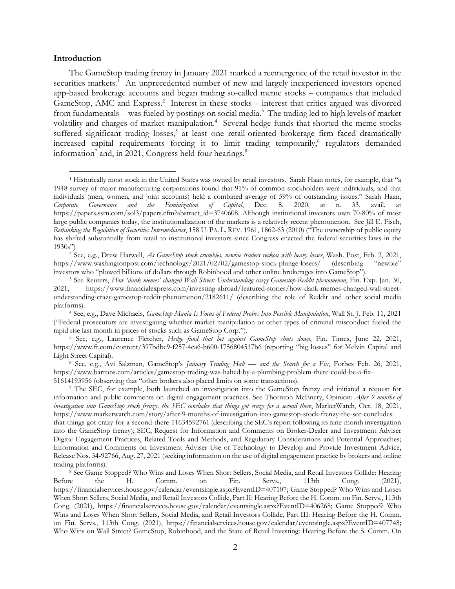#### **Introduction**

The GameStop trading frenzy in January 2021 marked a reemergence of the retail investor in the securities markets.<sup>1</sup> An unprecedented number of new and largely inexperienced investors opened app-based brokerage accounts and began trading so-called meme stocks – companies that included GameStop, AMC and Express.<sup>2</sup> Interest in these stocks – interest that critics argued was divorced from fundamentals -- was fueled by postings on social media.<sup>3</sup> The trading led to high levels of market volatility and charges of market manipulation.<sup>4</sup> Several hedge funds that shorted the meme stocks suffered significant trading losses,<sup>5</sup> at least one retail-oriented brokerage firm faced dramatically increased capital requirements forcing it to limit trading temporarily,<sup>6</sup> regulators demanded information<sup>7</sup> and, in 2021, Congress held four hearings.<sup>8</sup>

1930s") 2 See, e.g., Drew Harwell, *As GameStop stock crumbles, newbie traders reckon with heavy losses*, Wash. Post, Feb. 2, 2021, https://www.washingtonpost.com/technology/2021/02/02/gamestop-stock-plunge-losers/ (describing "newbie" investors who "plowed billions of dollars through Robinhood and other online brokerages into GameStop").<br><sup>3</sup> See Reuters, *How 'dank memes' changed Wall Street: Understanding crazy Gamestop-Reddit phenomenon*, Fin. Exp. Ja

https://www.ft.com/content/397bdbe9-f257-4ca6-b600-1756804517b6 (reporting "big losses" for Melvin Capital and

Light Street Capital). 6 See, e.g., Avi Salzman, GameStop's *January Trading Halt — and the Search for a Fix*, Forbes Feb. 26, 2021, https://www.barrons.com/articles/gamestop-trading-was-halted-by-a-plumbing-problem-there-could-be-a-fix-

51614193956 (observing that "other brokers also placed limits on some transactions). 7 The SEC, for example, both launched an investigation into the GameStop frenzy and initiated a request for information and public comments on digital engagement practices. See Thornton McEnery, Opinion: *After 9 months of investigation into GameStop stock frenzy, the SEC concludes that things got crazy for a second there*, MarketWatch, Oct. 18, 2021, https://www.marketwatch.com/story/after-9-months-of-investigation-into-gamestop-stock-frenzy-the-sec-concludesthat-things-got-crazy-for-a-second-there-11634592761 (describing the SEC's report following its nine-month investigation into the GameStop frenzy); SEC, Request for Information and Comments on Broker-Dealer and Investment Adviser Digital Engagement Practices, Related Tools and Methods, and Regulatory Considerations and Potential Approaches;

Information and Comments on Investment Adviser Use of Technology to Develop and Provide Investment Advice, Release Nos. 34-92766, Aug. 27, 2021 (seeking information on the use of digital engagement practice by brokers and online trading platforms). 8 See Game Stopped? Who Wins and Loses When Short Sellers, Social Media, and Retail Investors Collide: Hearing

Before the H. Comm. on Fin. Servs., 113th Cong. (2021), https://financialservices.house.gov/calendar/eventsingle.aspx?EventID=407107; Game Stopped? Who Wins and Loses When Short Sellers, Social Media, and Retail Investors Collide, Part II: Hearing Before the H. Comm. on Fin. Servs., 113th Cong. (2021), https://financialservices.house.gov/calendar/eventsingle.aspx?EventID=406268; Game Stopped? Who Wins and Loses When Short Sellers, Social Media, and Retail Investors Collide, Part III: Hearing Before the H. Comm. on Fin. Servs., 113th Cong. (2021), https://financialservices.house.gov/calendar/eventsingle.aspx?EventID=407748; Who Wins on Wall Street? GameStop, Robinhood, and the State of Retail Investing: Hearing Before the S. Comm. On

<sup>1</sup> Historically most stock in the United States was owned by retail investors. Sarah Haan notes, for example, that "a 1948 survey of major manufacturing corporations found that 91% of common stockholders were individuals, and that individuals (men, women, and joint accounts) held a combined average of 59% of outstanding issues." Sarah Haan, *Corporate Governance and the Feminization of Capital*, Dec. 8, 2020, at n. 33, avail. at https://papers.ssrn.com/sol3/papers.cfm?abstract\_id=3740608. Although institutional investors own 70-80% of most large public companies today, the institutionalization of the markets is a relatively recent phenomenon. See Jill E. Fisch, *Rethinking the Regulation of Securities Intermediaries*, 158 U. PA. L. REV. 1961, 1862-63 (2010) ("The ownership of public equity has shifted substantially from retail to institutional investors since Congress enacted the federal securities laws in the 1930s")

<sup>2021,</sup> https://www.financialexpress.com/investing-abroad/featured-stories/how-dank-memes-changed-wall-streetunderstanding-crazy-gamestop-reddit-phenomenon/2182611/ (describing the role of Reddit and other social media platforms). 4 See, e.g., Dave Michaels, *GameStop Mania Is Focus of Federal Probes Into Possible Manipulation*, Wall St. J. Feb. 11, 2021

<sup>(&</sup>quot;Federal prosecutors are investigating whether market manipulation or other types of criminal misconduct fueled the rapid rise last month in prices of stocks such as GameStop Corp."). 5 See, e.g., Laurence Fletcher, *Hedge fund that bet against GameStop shuts down*, Fin. Times, June 22, 2021,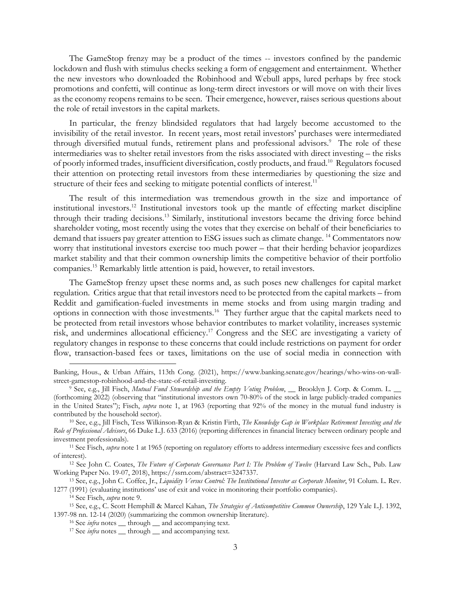The GameStop frenzy may be a product of the times -- investors confined by the pandemic lockdown and flush with stimulus checks seeking a form of engagement and entertainment. Whether the new investors who downloaded the Robinhood and Webull apps, lured perhaps by free stock promotions and confetti, will continue as long-term direct investors or will move on with their lives as the economy reopens remains to be seen. Their emergence, however, raises serious questions about the role of retail investors in the capital markets.

In particular, the frenzy blindsided regulators that had largely become accustomed to the invisibility of the retail investor. In recent years, most retail investors' purchases were intermediated through diversified mutual funds, retirement plans and professional advisors.<sup>9</sup> The role of these intermediaries was to shelter retail investors from the risks associated with direct investing – the risks of poorly informed trades, insufficient diversification, costly products, and fraud.10 Regulators focused their attention on protecting retail investors from these intermediaries by questioning the size and structure of their fees and seeking to mitigate potential conflicts of interest.<sup>11</sup>

The result of this intermediation was tremendous growth in the size and importance of institutional investors.12 Institutional investors took up the mantle of effecting market discipline through their trading decisions.13 Similarly, institutional investors became the driving force behind shareholder voting, most recently using the votes that they exercise on behalf of their beneficiaries to demand that issuers pay greater attention to ESG issues such as climate change. 14 Commentators now worry that institutional investors exercise too much power – that their herding behavior jeopardizes market stability and that their common ownership limits the competitive behavior of their portfolio companies.15 Remarkably little attention is paid, however, to retail investors.

The GameStop frenzy upset these norms and, as such poses new challenges for capital market regulation. Critics argue that that retail investors need to be protected from the capital markets – from Reddit and gamification-fueled investments in meme stocks and from using margin trading and options in connection with those investments.16 They further argue that the capital markets need to be protected from retail investors whose behavior contributes to market volatility, increases systemic risk, and undermines allocational efficiency.17 Congress and the SEC are investigating a variety of regulatory changes in response to these concerns that could include restrictions on payment for order flow, transaction-based fees or taxes, limitations on the use of social media in connection with

Banking, Hous., & Urban Affairs, 113th Cong. (2021), https://www.banking.senate.gov/hearings/who-wins-on-wallstreet-gamestop-robinhood-and-the-state-of-retail-investing. 9 See, e.g., Jill Fisch, *Mutual Fund Stewardship and the Empty Voting Problem*, \_\_ Brooklyn J. Corp. & Comm. L. \_\_

<sup>(</sup>forthcoming 2022) (observing that "institutional investors own 70-80% of the stock in large publicly-traded companies in the United States"); Fisch, *supra* note 1, at 1963 (reporting that 92% of the money in the mutual fund industry is contributed by the household sector). 10 See, e.g., Jill Fisch, Tess Wilkinson-Ryan & Kristin Firth, *The Knowledge Gap in Workplace Retirement Investing and the* 

*Role of Professional Advisors*, 66 Duke L.J. 633 (2016) (reporting differences in financial literacy between ordinary people and investment professionals). 11 See Fisch, *supra* note 1 at 1965 (reporting on regulatory efforts to address intermediary excessive fees and conflicts

of interest). 12 See John C. Coates, *The Future of Corporate Governance Part I: The Problem of Twelve* (Harvard Law Sch., Pub. Law

Working Paper No. 19-07, 2018), https://ssrn.com/abstract=3247337. 13 See, e.g., John C. Coffee, Jr., *Liquidity Versus Control: The Institutional Investor as Corporate Monitor*, 91 Colum. L. Rev.

<sup>1277 (1991) (</sup>evaluating institutions' use of exit and voice in monitoring their portfolio companies).<br><sup>14</sup> See Fisch, *supra* note 9.<br><sup>15</sup> See, e.g., C. Scott Hemphill & Marcel Kahan, *The Strategies of Anticompetitive Com* 

<sup>1397-98</sup> nn. 12-14 (2020) (summarizing the common ownership literature).<br><sup>16</sup> See *infra* notes \_\_ through \_\_ and accompanying text.<br><sup>17</sup> See *infra* notes \_\_ through \_\_ and accompanying text.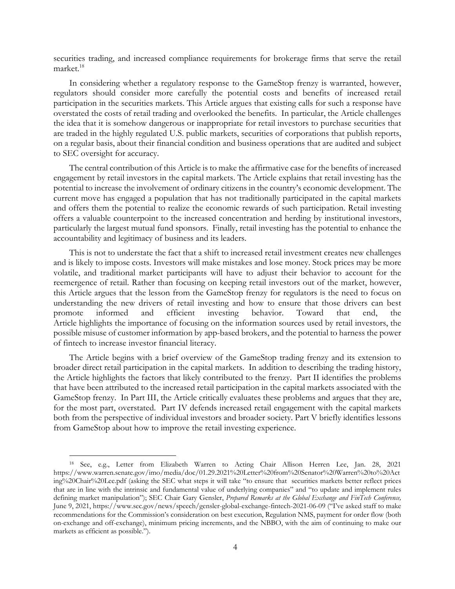securities trading, and increased compliance requirements for brokerage firms that serve the retail market.<sup>18</sup>

In considering whether a regulatory response to the GameStop frenzy is warranted, however, regulators should consider more carefully the potential costs and benefits of increased retail participation in the securities markets. This Article argues that existing calls for such a response have overstated the costs of retail trading and overlooked the benefits. In particular, the Article challenges the idea that it is somehow dangerous or inappropriate for retail investors to purchase securities that are traded in the highly regulated U.S. public markets, securities of corporations that publish reports, on a regular basis, about their financial condition and business operations that are audited and subject to SEC oversight for accuracy.

The central contribution of this Article is to make the affirmative case for the benefits of increased engagement by retail investors in the capital markets. The Article explains that retail investing has the potential to increase the involvement of ordinary citizens in the country's economic development. The current move has engaged a population that has not traditionally participated in the capital markets and offers them the potential to realize the economic rewards of such participation. Retail investing offers a valuable counterpoint to the increased concentration and herding by institutional investors, particularly the largest mutual fund sponsors. Finally, retail investing has the potential to enhance the accountability and legitimacy of business and its leaders.

This is not to understate the fact that a shift to increased retail investment creates new challenges and is likely to impose costs. Investors will make mistakes and lose money. Stock prices may be more volatile, and traditional market participants will have to adjust their behavior to account for the reemergence of retail. Rather than focusing on keeping retail investors out of the market, however, this Article argues that the lesson from the GameStop frenzy for regulators is the need to focus on understanding the new drivers of retail investing and how to ensure that those drivers can best promote informed and efficient investing behavior. Toward that end, the Article highlights the importance of focusing on the information sources used by retail investors, the possible misuse of customer information by app-based brokers, and the potential to harness the power of fintech to increase investor financial literacy.

The Article begins with a brief overview of the GameStop trading frenzy and its extension to broader direct retail participation in the capital markets. In addition to describing the trading history, the Article highlights the factors that likely contributed to the frenzy. Part II identifies the problems that have been attributed to the increased retail participation in the capital markets associated with the GameStop frenzy. In Part III, the Article critically evaluates these problems and argues that they are, for the most part, overstated. Part IV defends increased retail engagement with the capital markets both from the perspective of individual investors and broader society. Part V briefly identifies lessons from GameStop about how to improve the retail investing experience.

<sup>18</sup> See, e.g., Letter from Elizabeth Warren to Acting Chair Allison Herren Lee, Jan. 28, 2021 https://www.warren.senate.gov/imo/media/doc/01.29.2021%20Letter%20from%20Senator%20Warren%20to%20Act ing%20Chair%20Lee.pdf (asking the SEC what steps it will take "to ensure that securities markets better reflect prices that are in line with the intrinsic and fundamental value of underlying companies" and "to update and implement rules defining market manipulation"); SEC Chair Gary Gensler, *Prepared Remarks at the Global Exchange and FinTech Conference,* June 9, 2021, https://www.sec.gov/news/speech/gensler-global-exchange-fintech-2021-06-09 ("I've asked staff to make recommendations for the Commission's consideration on best execution, Regulation NMS, payment for order flow (both on-exchange and off-exchange), minimum pricing increments, and the NBBO, with the aim of continuing to make our markets as efficient as possible.").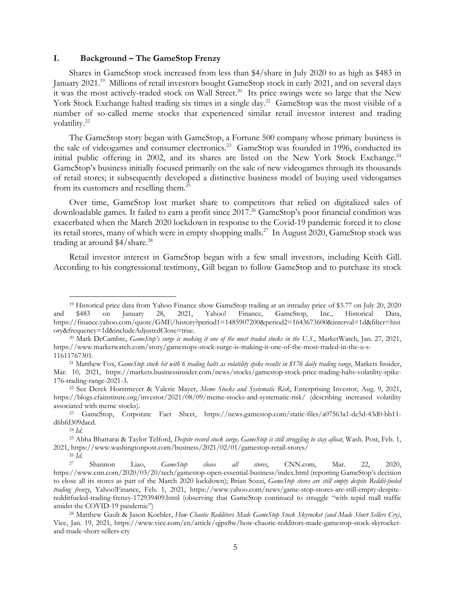#### **I. Background – The GameStop Frenzy**

Shares in GameStop stock increased from less than \$4/share in July 2020 to as high as \$483 in January 2021.19 Millions of retail investors bought GameStop stock in early 2021, and on several days it was the most actively-traded stock on Wall Street.<sup>20</sup> Its price swings were so large that the New York Stock Exchange halted trading six times in a single day.<sup>21</sup> GameStop was the most visible of a number of so-called meme stocks that experienced similar retail investor interest and trading volatility.<sup>22</sup>

The GameStop story began with GameStop, a Fortune 500 company whose primary business is the sale of videogames and consumer electronics.<sup>23</sup> GameStop was founded in 1996, conducted its initial public offering in 2002, and its shares are listed on the New York Stock Exchange.<sup>24</sup> GameStop's business initially focused primarily on the sale of new videogames through its thousands of retail stores; it subsequently developed a distinctive business model of buying used videogames from its customers and reselling them.25

Over time, GameStop lost market share to competitors that relied on digitalized sales of downloadable games. It failed to earn a profit since 2017.<sup>26</sup> GameStop's poor financial condition was exacerbated when the March 2020 lockdown in response to the Covid-19 pandemic forced it to close its retail stores, many of which were in empty shopping malls.<sup>27</sup> In August 2020, GameStop stock was trading at around \$4/share.<sup>28</sup>

Retail investor interest in GameStop began with a few small investors, including Keith Gill. According to his congressional testimony, Gill began to follow GameStop and to purchase its stock

<sup>19</sup> Historical price data from Yahoo Finance show GameStop trading at an intraday price of \$3.77 on July 20, 2020 and \$483 on January 28, 2021, Yahoo! Finance, GameStop, Inc., Historical Data, https://finance.yahoo.com/quote/GME/history?period1=1485907200&period2=1643673600&interval=1d&filter=hist ory&frequency=1d&includeAdjustedClose=true. 20 Mark DeCambre, *GameStop's surge is making it one of the most traded stocks in the U.S*., MarketWatch, Jan. 27, 2021,

https://www.marketwatch.com/story/gamestops-stock-surge-is-making-it-one-of-the-most-traded-in-the-u-s-

<sup>11611767301. 21</sup> Matthew Fox, *GameStop stock hit with 6 trading halts as volatility spike results in \$176 daily trading range*, Markets Insider, Mar. 10, 2021, https://markets.businessinsider.com/news/stocks/gamestop-stock-price-trading-halts-volatility-spike-176-trading-range-2021-3. 22 See Derek Horstmeyer & Valerie Mayer, *Meme Stocks and Systematic Risk*, Enterprising Investor, Aug. 9, 2021,

https://blogs.cfainstitute.org/investor/2021/08/09/meme-stocks-and-systematic-risk/ (describing increased volatility associated with meme stocks). 23 GameStop, Corporate Fact Sheet, https://news.gamestop.com/static-files/a07563a1-de5d-43d0-bb11-

d6bfd309dacd. 24 *Id.*

<sup>25</sup> Abha Bhattarai & Taylor Telford, *Despite record stock surge, GameStop is still struggling to stay afloat*, Wash. Post, Feb. 1, 2021, https://www.washingtonpost.com/business/2021/02/01/gamestop-retail-stores/<br><sup>26</sup> *Id.* Shannon Liso CameStop close all stores CNN set

<sup>27</sup> Shannon Liao, *GameStop closes all stores*, CNN.com, Mar. 22, 2020, https://www.cnn.com/2020/03/20/tech/gamestop-open-essential-business/index.html (reporting GameStop's decision to close all its stores as part of the March 2020 lockdown); Brian Sozzi, *GameStop stores are still empty despite Reddit-fueled trading frenzy*, Yahoo!Finance, Feb. 1, 2021, https://www.yahoo.com/news/game-stop-stores-are-still-empty-despiteredditfueled-trading-frenzy-172939409.html (observing that GameStop continued to struggle "with tepid mall traffic amidst the COVID-19 pandemic") 28 Matthew Gault & Jason Koebler, *How Chaotic Redditors Made GameStop Stock Skyrocket (and Made Short Sellers Cry)*,

Vice, Jan. 19, 2021, https://www.vice.com/en/article/qjpx8w/how-chaotic-redditors-made-gamestop-stock-skyrocketand-made-short-sellers-cry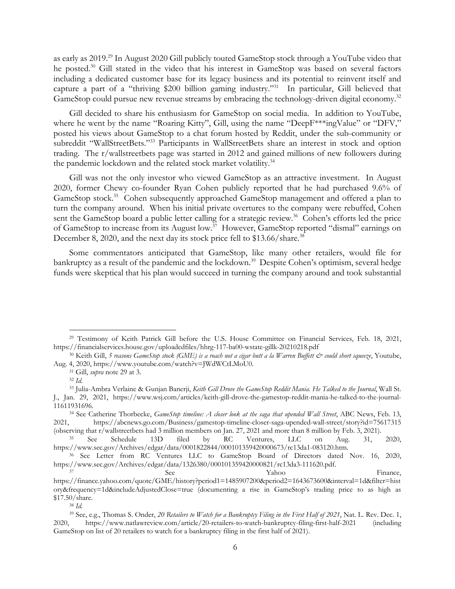as early as 2019.29 In August 2020 Gill publicly touted GameStop stock through a YouTube video that he posted.<sup>30</sup> Gill stated in the video that his interest in GameStop was based on several factors including a dedicated customer base for its legacy business and its potential to reinvent itself and capture a part of a "thriving \$200 billion gaming industry."31 In particular, Gill believed that GameStop could pursue new revenue streams by embracing the technology-driven digital economy.<sup>32</sup>

Gill decided to share his enthusiasm for GameStop on social media. In addition to YouTube, where he went by the name "Roaring Kitty", Gill, using the name "DeepF\*\*\*ingValue" or "DFV," posted his views about GameStop to a chat forum hosted by Reddit, under the sub-community or subreddit "WallStreetBets."<sup>33</sup> Participants in WallStreetBets share an interest in stock and option trading. The r/wallstreetbets page was started in 2012 and gained millions of new followers during the pandemic lockdown and the related stock market volatility.<sup>34</sup>

Gill was not the only investor who viewed GameStop as an attractive investment. In August 2020, former Chewy co-founder Ryan Cohen publicly reported that he had purchased 9.6% of GameStop stock.<sup>35</sup> Cohen subsequently approached GameStop management and offered a plan to turn the company around. When his initial private overtures to the company were rebuffed, Cohen sent the GameStop board a public letter calling for a strategic review.<sup>36</sup> Cohen's efforts led the price of GameStop to increase from its August low.<sup>37</sup> However, GameStop reported "dismal" earnings on December 8, 2020, and the next day its stock price fell to \$13.66/share.<sup>38</sup>

Some commentators anticipated that GameStop, like many other retailers, would file for bankruptcy as a result of the pandemic and the lockdown.<sup>39</sup> Despite Cohen's optimism, several hedge funds were skeptical that his plan would succeed in turning the company around and took substantial

<sup>29</sup> Testimony of Keith Patrick Gill before the U.S. House Committee on Financial Services, Feb. 18, 2021, https://financialservices.house.gov/uploadedfiles/hhrg-117-ba00-wstate-gillk-20210218.pdf 30 Keith Gill, *5 reasons GameStop stock (GME) is a roach not a cigar butt a la Warren Buffett & could short squeeze*, Youtube,

Aug. 4, 2020, https://www.youtube.com/watch?v=JWdWCtLMoU0.<br><sup>31</sup> Gill, *supra* note 29 at 3.<br><sup>32</sup> *Id.* 

<sup>33</sup> Julia-Ambra Verlaine & Gunjan Banerji, *Keith Gill Drove the GameStop Reddit Mania. He Talked to the Journal*, Wall St. J., Jan. 29, 2021, https://www.wsj.com/articles/keith-gill-drove-the-gamestop-reddit-mania-he-talked-to-the-journal-

<sup>11611931696. 34</sup> See Catherine Thorbecke, *GameStop timeline: A closer look at the saga that upended Wall Street*, ABC News, Feb. 13, 2021, https://abcnews.go.com/Business/gamestop-timeline-closer-saga-upended-wall-street/story?id=75617315 (observing that r/wallstreetbets had 3 million members on Jan. 27, 2021 and more than 8 million by Feb. 3, 2021). 35 See Schedule 13D filed by RC Ventures, LLC on Aug. 31, 2020,

https://www.sec.gov/Archives/edgar/data/0001822844/000101359420000673/rc13da1-083120.htm. 36 See Letter from RC Ventures LLC to GameStop Board of Directors dated Nov. 16, 2020,

https://www.sec.gov/Archives/edgar/data/1326380/000101359420000821/rc13da3-111620.pdf.<br>See Yahoo Finance,

https://finance.yahoo.com/quote/GME/history?period1=1485907200&period2=1643673600&interval=1d&filter=hist ory&frequency=1d&includeAdjustedClose=true (documenting a rise in GameStop's trading price to as high as  $$17.50/s$ hare.<br><sup>38</sup> *Id.* 

<sup>39</sup> See, e.g., Thomas S. Onder, *20 Retailers to Watch for a Bankruptcy Filing in the First Half of 2021*, Nat. L. Rev. Dec. 1, 2020, https://www.natlawreview.com/article/20-retailers-to-watch-bankruptcy-filing-first-half-2021 (including GameStop on list of 20 retailers to watch for a bankruptcy filing in the first half of 2021).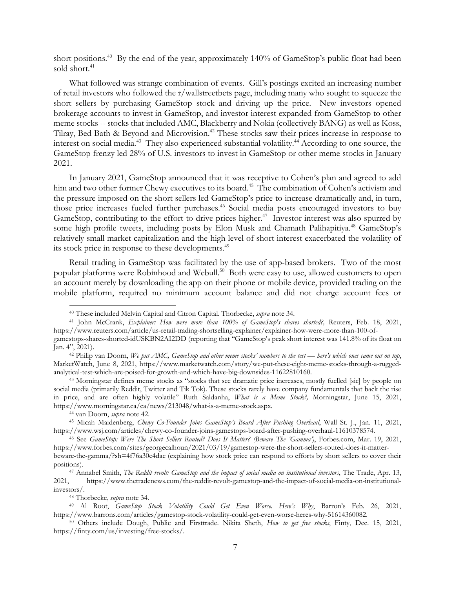short positions.<sup>40</sup> By the end of the year, approximately 140% of GameStop's public float had been sold short.<sup>41</sup>

What followed was strange combination of events. Gill's postings excited an increasing number of retail investors who followed the r/wallstreetbets page, including many who sought to squeeze the short sellers by purchasing GameStop stock and driving up the price. New investors opened brokerage accounts to invest in GameStop, and investor interest expanded from GameStop to other meme stocks -- stocks that included AMC, Blackberry and Nokia (collectively BANG) as well as Koss, Tilray, Bed Bath & Beyond and Microvision.<sup>42</sup> These stocks saw their prices increase in response to interest on social media.<sup>43</sup> They also experienced substantial volatility.<sup>44</sup> According to one source, the GameStop frenzy led 28% of U.S. investors to invest in GameStop or other meme stocks in January 2021.

In January 2021, GameStop announced that it was receptive to Cohen's plan and agreed to add him and two other former Chewy executives to its board.<sup>45</sup> The combination of Cohen's activism and the pressure imposed on the short sellers led GameStop's price to increase dramatically and, in turn, those price increases fueled further purchases.<sup>46</sup> Social media posts encouraged investors to buy GameStop, contributing to the effort to drive prices higher.<sup>47</sup> Investor interest was also spurred by some high profile tweets, including posts by Elon Musk and Chamath Palihapitiya.<sup>48</sup> GameStop's relatively small market capitalization and the high level of short interest exacerbated the volatility of its stock price in response to these developments.<sup>49</sup>

Retail trading in GameStop was facilitated by the use of app-based brokers. Two of the most popular platforms were Robinhood and Webull.50 Both were easy to use, allowed customers to open an account merely by downloading the app on their phone or mobile device, provided trading on the mobile platform, required no minimum account balance and did not charge account fees or

<sup>40</sup> These included Melvin Capital and Citron Capital. Thorbecke, *supra* note 34. 41 John McCrank, *Explainer: How were more than 100% of GameStop's shares shorted?,* Reuters, Feb. 18, 2021, https://www.reuters.com/article/us-retail-trading-shortselling-explainer/explainer-how-were-more-than-100-ofgamestops-shares-shorted-idUSKBN2AI2DD (reporting that "GameStop's peak short interest was 141.8% of its float on

Jan. 4", 2021). 42 Philip van Doorn, *We put AMC, GameStop and other meme stocks' numbers to the test — here's which ones came out on top*, MarketWatch, June 8, 2021, https://www.marketwatch.com/story/we-put-these-eight-meme-stocks-through-a-ruggedanalytical-test-which-are-poised-for-growth-and-which-have-big-downsides-11622810160. 43 Morningstar defines meme stocks as "stocks that see dramatic price increases, mostly fuelled [sic] by people on

social media (primarily Reddit, Twitter and Tik Tok). These stocks rarely have company fundamentals that back the rise in price, and are often highly volatile" Ruth Saldanha, *What is a Meme Stock?,* Morningstar, June 15, 2021, https://www.morningstar.ca/ca/news/213048/what-is-a-meme-stock.aspx. 44 van Doorn, *supra* note 42. 45 Micah Maidenberg, *Chewy Co-Founder Joins GameStop's Board After Pushing Overhaul*, Wall St. J., Jan. 11, 2021,

https://www.wsj.com/articles/chewy-co-founder-joins-gamestops-board-after-pushing-overhaul-11610378574. 46 See *GameStop: Were The Short Sellers Routed? Does It Matter? (Beware The 'Gamma')*, Forbes.com, Mar. 19, 2021,

https://www.forbes.com/sites/georgecalhoun/2021/03/19/gamestop-were-the-short-sellers-routed-does-it-matter-

beware-the-gamma/?sh=4f76a30c4dae (explaining how stock price can respond to efforts by short sellers to cover their positions). 47 Annabel Smith, *The Reddit revolt: GameStop and the impact of social media on institutional investors*, The Trade, Apr. 13,

<sup>2021,</sup> https://www.thetradenews.com/the-reddit-revolt-gamestop-and-the-impact-of-social-media-on-institutionalinvestors/. 48 Thorbecke, *supra* note 34. 49 Al Root, *GameStop Stock Volatility Could Get Even Worse. Here's Why*, Barron's Feb. 26, 2021,

https://www.barrons.com/articles/gamestop-stock-volatility-could-get-even-worse-heres-why-51614360082. 50 Others include Dough, Public and Firsttrade. Nikita Sheth, *How to get free stocks*, Finty, Dec. 15, 2021,

https://finty.com/us/investing/free-stocks/.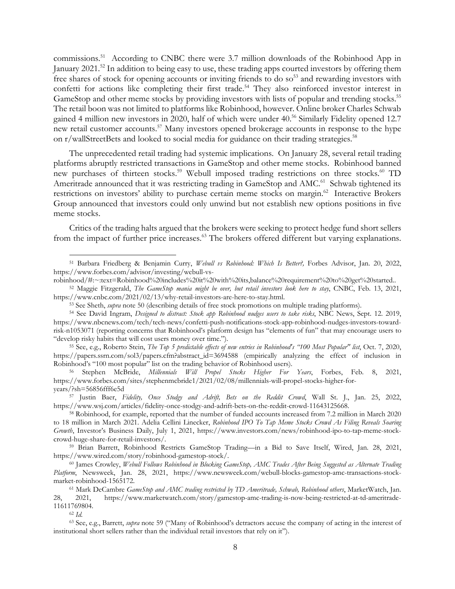commissions.51 According to CNBC there were 3.7 million downloads of the Robinhood App in January 2021.<sup>52</sup> In addition to being easy to use, these trading apps courted investors by offering them free shares of stock for opening accounts or inviting friends to do so<sup>53</sup> and rewarding investors with confetti for actions like completing their first trade.<sup>54</sup> They also reinforced investor interest in GameStop and other meme stocks by providing investors with lists of popular and trending stocks.<sup>55</sup> The retail boon was not limited to platforms like Robinhood, however. Online broker Charles Schwab gained 4 million new investors in 2020, half of which were under 40.<sup>56</sup> Similarly Fidelity opened 12.7 new retail customer accounts.<sup>57</sup> Many investors opened brokerage accounts in response to the hype on r/wallStreetBets and looked to social media for guidance on their trading strategies.<sup>58</sup>

The unprecedented retail trading had systemic implications. On January 28, several retail trading platforms abruptly restricted transactions in GameStop and other meme stocks. Robinhood banned new purchases of thirteen stocks.<sup>59</sup> Webull imposed trading restrictions on three stocks.<sup>60</sup> TD Ameritrade announced that it was restricting trading in GameStop and AMC.<sup>61</sup> Schwab tightened its restrictions on investors' ability to purchase certain meme stocks on margin.<sup>62</sup> Interactive Brokers Group announced that investors could only unwind but not establish new options positions in five meme stocks.

Critics of the trading halts argued that the brokers were seeking to protect hedge fund short sellers from the impact of further price increases.<sup>63</sup> The brokers offered different but varying explanations.

<sup>51</sup> Barbara Friedberg & Benjamin Curry, *Webull vs Robinhood: Which Is Better?,* Forbes Advisor, Jan. 20, 2022, https://www.forbes.com/advisor/investing/webull-vs-

robinhood/#:~:text=Robinhood%20includes%20it%20with%20its,balance%20requirement%20to%20get%20started..<br><sup>52</sup> Maggie Fitzgerald, *The GameStop mania might be over, but retail investors look here to stay*, CNBC, Feb. 13, 2021

https://www.cnbc.com/2021/02/13/why-retail-investors-are-here-to-stay.html.<br>
<sup>53</sup> See Sheth, *supra* note 50 (describing details of free stock promotions on multiple trading platforms).<br>
<sup>54</sup> See David Ingram, *Designed to* 

https://www.nbcnews.com/tech/tech-news/confetti-push-notifications-stock-app-robinhood-nudges-investors-towardrisk-n1053071 (reporting concerns that Robinhood's platform design has "elements of fun" that may encourage users to "develop risky habits that will cost users money over time."). 55 See, e.g., Roberto Stein, *The Top 5 predictable effects of new entries in Robinhood's "100 Most Popular" list*, Oct. 7, 2020,

https://papers.ssrn.com/sol3/papers.cfm?abstract\_id=3694588 (empirically analyzing the effect of inclusion in Robinhood's "100 most popular" list on the trading behavior of Robinhood users). 56 Stephen McBride, *Millennials Will Propel Stocks Higher For Years*, Forbes, Feb. 8, 2021,

https://www.forbes.com/sites/stephenmcbride1/2021/02/08/millennials-will-propel-stocks-higher-for-

years/?sh=56856fff6e5d 57 Justin Baer, *Fidelity, Once Stodgy and Adrift, Bets on the Reddit Crowd*, Wall St. J., Jan. 25, 2022, https://www.wsj.com/articles/fidelity-once-stodgy-and-adrift-bets-on-the-reddit-crowd-11643125668. 58 Robinhood, for example, reported that the number of funded accounts increased from 7.2 million in March 2020

to 18 million in March 2021. Adelia Cellini Linecker, *Robinhood IPO To Tap Meme Stocks Crowd As Filing Reveals Soaring Growth*, Investor's Business Daily, July 1, 2021, https://www.investors.com/news/robinhood-ipo-to-tap-meme-stockcrowd-huge-share-for-retail-investors/. 59 Brian Barrett, Robinhood Restricts GameStop Trading—in a Bid to Save Itself, Wired, Jan. 28, 2021,

https://www.wired.com/story/robinhood-gamestop-stock/. 60 James Crowley, *Webull Follows Robinhood in Blocking GameStop, AMC Trades After Being Suggested as Alternate Trading* 

*Platform*, Newsweek, Jan. 28, 2021, https://www.newsweek.com/webull-blocks-gamestop-amc-transactions-stockmarket-robinhood-1565172.<br><sup>61</sup> Mark DeCambre *GameStop and AMC trading restricted by TD Ameritrade, Schwab, Robinhood others*, MarketWatch, Jan.

<sup>28, 2021,</sup> https://www.marketwatch.com/story/gamestop-amc-trading-is-now-being-restricted-at-td-ameritrade-11611769804. 62 *Id.*

<sup>63</sup> See, e.g., Barrett, *supra* note 59 ("Many of Robinhood's detractors accuse the company of acting in the interest of institutional short sellers rather than the individual retail investors that rely on it").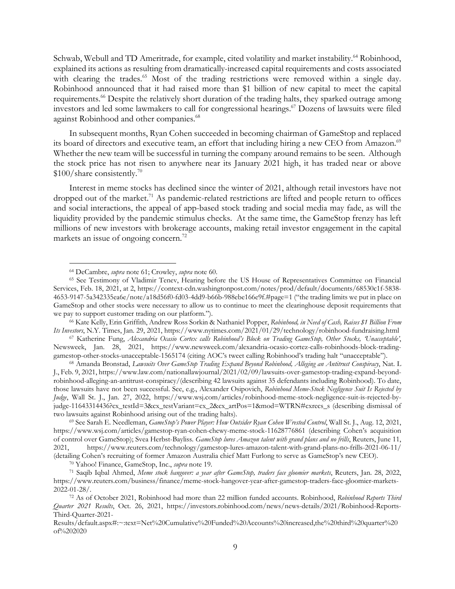Schwab, Webull and TD Ameritrade, for example, cited volatility and market instability.<sup>64</sup> Robinhood, explained its actions as resulting from dramatically-increased capital requirements and costs associated with clearing the trades.<sup>65</sup> Most of the trading restrictions were removed within a single day. Robinhood announced that it had raised more than \$1 billion of new capital to meet the capital requirements.66 Despite the relatively short duration of the trading halts, they sparked outrage among investors and led some lawmakers to call for congressional hearings.<sup>67</sup> Dozens of lawsuits were filed against Robinhood and other companies.<sup>68</sup>

In subsequent months, Ryan Cohen succeeded in becoming chairman of GameStop and replaced its board of directors and executive team, an effort that including hiring a new CEO from Amazon.<sup>69</sup> Whether the new team will be successful in turning the company around remains to be seen. Although the stock price has not risen to anywhere near its January 2021 high, it has traded near or above \$100/share consistently.70

Interest in meme stocks has declined since the winter of 2021, although retail investors have not dropped out of the market.<sup>71</sup> As pandemic-related restrictions are lifted and people return to offices and social interactions, the appeal of app-based stock trading and social media may fade, as will the liquidity provided by the pandemic stimulus checks. At the same time, the GameStop frenzy has left millions of new investors with brokerage accounts, making retail investor engagement in the capital markets an issue of ongoing concern.<sup>72</sup>

<sup>&</sup>lt;sup>64</sup> DeCambre, *supra* note 61; Crowley, *supra* note 60.<br><sup>65</sup> See Testimony of Vladimir Tenev, Hearing before the US House of Representatives Committee on Financial Services, Feb. 18, 2021, at 2, https://context-cdn.washingtonpost.com/notes/prod/default/documents/68530c1f-5838- 4653-9147-5a342335ea6e/note/a18d56f0-fd03-4dd9-b66b-988ebe166e9f.#page=1 ("the trading limits we put in place on GameStop and other stocks were necessary to allow us to continue to meet the clearinghouse deposit requirements that we pay to support customer trading on our platform."). 66 Kate Kelly, Erin Griffith, Andrew Ross Sorkin & Nathaniel Popper, *Robinhood, in Need of Cash, Raises \$1 Billion From* 

Its Investors, N.Y. Times, Jan. 29, 2021, https://www.nytimes.com/2021/01/29/technology/robinhood-fundraising.html <sup>67</sup> Katherine Fung, *Alexandria Ocasio Cortex calls Robinhood's Block on Trading GameStop, Other Stocks, U* 

Newsweek, Jan. 28, 2021, https://www.newsweek.com/alexandria-ocasio-cortez-calls-robinhoods-block-tradinggamestop-other-stocks-unacceptable-1565174 (citing AOC's tweet calling Robinhood's trading halt "unacceptable").<br><sup>68</sup> Amanda Bronstad, Lawsuits Over GameStop Trading Expand Beyond Robinhood, Alleging an Antitrust Conspirac

J., Feb. 9, 2021, https://www.law.com/nationallawjournal/2021/02/09/lawsuits-over-gamestop-trading-expand-beyondrobinhood-alleging-an-antitrust-conspiracy/(describing 42 lawsuits against 35 defendants including Robinhood). To date, those lawsuits have not been successful. See, e.g., Alexander Osipovich, *Robinhood Meme-Stock Negligence Suit Is Rejected by Judge*, Wall St. J., Jan. 27, 2022, https://www.wsj.com/articles/robinhood-meme-stock-negligence-suit-is-rejected-byjudge-11643314436?cx\_testId=3&cx\_testVariant=cx\_2&cx\_artPos=1&mod=WTRN#cxrecs\_s (describing dismissal of two lawsuits against Robinhood arising out of the trading halts). 69 See Sarah E. Needleman, *GameStop's Power Player: How Outsider Ryan Cohen Wrested Control*, Wall St. J., Aug. 12, 2021,

https://www.wsj.com/articles/gamestop-ryan-cohen-chewy-meme-stock-11628776861 (describing Cohen's acquisition of control over GameStop); Svea Herbst-Bayliss. *GameStop lures Amazon talent with grand plans and no frills*, Reuters, June 11, 2021, https://www.reuters.com/technology/gamestop-lures-amazon-talent-with-grand-plans-no-frills-2021-06-11/ (detailing Cohen's recruiting of former Amazon Australia chief Matt Furlong to serve as GameStop's new CEO).<br><sup>70</sup> Yahoo! Finance, GameStop, Inc., *supra* note 19.<br><sup>71</sup> Saqib Iqbal Ahmed, *Meme stock hangover: a year after* 

https://www.reuters.com/business/finance/meme-stock-hangover-year-after-gamestop-traders-face-gloomier-markets-2022-01-28/. 72 As of October 2021, Robinhood had more than 22 million funded accounts. Robinhood, *Robinhood Reports Third* 

*Quarter 2021 Results*, Oct. 26, 2021, https://investors.robinhood.com/news/news-details/2021/Robinhood-Reports-Third-Quarter-2021-

Results/default.aspx#:~:text=Net%20Cumulative%20Funded%20Accounts%20increased,the%20third%20quarter%20 of%202020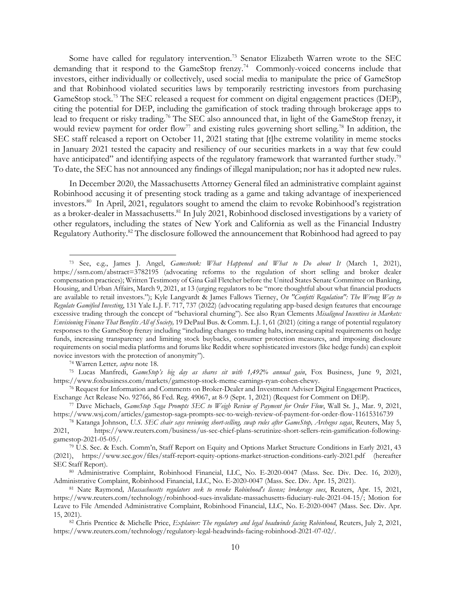Some have called for regulatory intervention.73 Senator Elizabeth Warren wrote to the SEC demanding that it respond to the GameStop frenzy.<sup>74</sup> Commonly-voiced concerns include that investors, either individually or collectively, used social media to manipulate the price of GameStop and that Robinhood violated securities laws by temporarily restricting investors from purchasing GameStop stock.<sup>75</sup> The SEC released a request for comment on digital engagement practices (DEP), citing the potential for DEP, including the gamification of stock trading through brokerage apps to lead to frequent or risky trading.<sup>76</sup> The SEC also announced that, in light of the GameStop frenzy, it would review payment for order flow<sup>77</sup> and existing rules governing short selling.<sup>78</sup> In addition, the SEC staff released a report on October 11, 2021 stating that [t]he extreme volatility in meme stocks in January 2021 tested the capacity and resiliency of our securities markets in a way that few could have anticipated" and identifying aspects of the regulatory framework that warranted further study.<sup>79</sup> To date, the SEC has not announced any findings of illegal manipulation; nor has it adopted new rules.

In December 2020, the Massachusetts Attorney General filed an administrative complaint against Robinhood accusing it of presenting stock trading as a game and taking advantage of inexperienced investors.80 In April, 2021, regulators sought to amend the claim to revoke Robinhood's registration as a broker-dealer in Massachusetts.<sup>81</sup> In July 2021, Robinhood disclosed investigations by a variety of other regulators, including the states of New York and California as well as the Financial Industry Regulatory Authority.<sup>82</sup> The disclosure followed the announcement that Robinhood had agreed to pay

<sup>73</sup> See, e.g., James J. Angel, *Gamestonk: What Happened and What to Do about It* (March 1, 2021), https://ssrn.com/abstract=3782195 (advocating reforms to the regulation of short selling and broker dealer compensation practices); Written Testimony of Gina Gail Fletcher before the United States Senate Committee on Banking, Housing, and Urban Affairs, March 9, 2021, at 13 (urging regulators to be "more thoughtful about what financial products are available to retail investors."); Kyle Langvardt & James Fallows Tierney, *On "Confetti Regulation": The Wrong Way to Regulate Gamified Investing*, 131 Yale L.J. F. 717, 737 (2022) (advocating regulating app-based design features that encourage excessive trading through the concept of "behavioral churning"). See also Ryan Clements *Misaligned Incentives in Markets: Envisioning Finance That Benefits All of Society,* 19 DePaul Bus. & Comm. L.J. 1, 61 (2021) (citing a range of potential regulatory responses to the GameStop frenzy including "including changes to trading halts, increasing capital requirements on hedge funds, increasing transparency and limiting stock buybacks, consumer protection measures, and imposing disclosure requirements on social media platforms and forums like Reddit where sophisticated investors (like hedge funds) can exploit novice investors with the protection of anonymity"). 74 Warren Letter*, supra* note 18. 75 Lucas Manfredi, *GameStop's big day as shares sit with 1,492% annual gain*, Fox Business, June 9, 2021,

https://www.foxbusiness.com/markets/gamestop-stock-meme-earnings-ryan-cohen-chewy. 76 Request for Information and Comments on Broker-Dealer and Investment Adviser Digital Engagement Practices,

Exchange Act Release No. 92766, 86 Fed. Reg. 49067, at 8-9 (Sept. 1, 2021) (Request for Comment on DEP).<br><sup>77</sup> Dave Michaels, *GameStop Saga Prompts SEC to Weigh Review of Payment for Order Flow*, Wall St. J., Mar. 9, 2021,

https://www.wsj.com/articles/gamestop-saga-prompts-sec-to-weigh-review-of-payment-for-order-flow-11615316739<br><sup>78</sup> Katanga Johnson, U.S. SEC chair says reviewing short-selling, swap rules after GameStop, Archegos sagas, Reu

<sup>2021,</sup> https://www.reuters.com/business/us-sec-chief-plans-scrutinize-short-sellers-rein-gamification-followinggamestop-2021-05-05/. 79 U.S. Sec. & Exch. Comm'n, Staff Report on Equity and Options Market Structure Conditions in Early 2021, 43

<sup>(2021),</sup> https://www.sec.gov/files/staff-report-equity-options-market-struction-conditions-early-2021.pdf (hereafter SEC Staff Report).<br><sup>80</sup> Administrative Complaint, Robinhood Financial, LLC, No. E-2020-0047 (Mass. Sec. Div. Dec. 16, 2020),

Administrative Complaint, Robinhood Financial, LLC, No. E-2020-0047 (Mass. Sec. Div. Apr. 15, 2021).<br><sup>81</sup> Nate Raymond, *Massachusetts regulators seek to revoke Robinhood's license; brokerage sues*, Reuters, Apr. 15, 2021,

https://www.reuters.com/technology/robinhood-sues-invalidate-massachusetts-fiduciary-rule-2021-04-15/; Motion for Leave to File Amended Administrative Complaint, Robinhood Financial, LLC, No. E-2020-0047 (Mass. Sec. Div. Apr. 15, 2021). 82 Chris Prentice & Michelle Price, *Explainer: The regulatory and legal headwinds facing Robinhood*, Reuters, July 2, 2021,

https://www.reuters.com/technology/regulatory-legal-headwinds-facing-robinhood-2021-07-02/.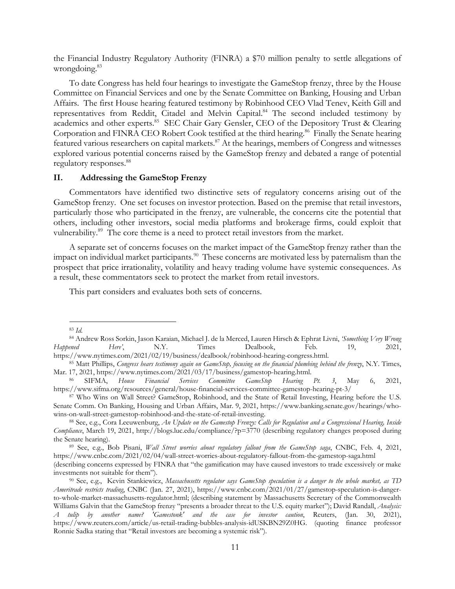the Financial Industry Regulatory Authority (FINRA) a \$70 million penalty to settle allegations of wrongdoing.<sup>83</sup>

To date Congress has held four hearings to investigate the GameStop frenzy, three by the House Committee on Financial Services and one by the Senate Committee on Banking, Housing and Urban Affairs. The first House hearing featured testimony by Robinhood CEO Vlad Tenev, Keith Gill and representatives from Reddit, Citadel and Melvin Capital.<sup>84</sup> The second included testimony by academics and other experts.<sup>85</sup> SEC Chair Gary Gensler, CEO of the Depository Trust & Clearing Corporation and FINRA CEO Robert Cook testified at the third hearing.<sup>86</sup> Finally the Senate hearing featured various researchers on capital markets.<sup>87</sup> At the hearings, members of Congress and witnesses explored various potential concerns raised by the GameStop frenzy and debated a range of potential regulatory responses.<sup>88</sup>

### **II. Addressing the GameStop Frenzy**

Commentators have identified two distinctive sets of regulatory concerns arising out of the GameStop frenzy. One set focuses on investor protection. Based on the premise that retail investors, particularly those who participated in the frenzy, are vulnerable, the concerns cite the potential that others, including other investors, social media platforms and brokerage firms, could exploit that vulnerability.<sup>89</sup> The core theme is a need to protect retail investors from the market.

A separate set of concerns focuses on the market impact of the GameStop frenzy rather than the impact on individual market participants.<sup>90</sup> These concerns are motivated less by paternalism than the prospect that price irrationality, volatility and heavy trading volume have systemic consequences. As a result, these commentators seek to protect the market from retail investors.

This part considers and evaluates both sets of concerns.

<sup>83</sup> *Id.*

<sup>84</sup> Andrew Ross Sorkin, Jason Karaian, Michael J. de la Merced, Lauren Hirsch & Ephrat Livni, *'Something Very Wrong Happened Here'*, N.Y. Times Dealbook, Feb. 19, 2021,

https://www.nytimes.com/2021/02/19/business/dealbook/robinhood-hearing-congress.html. 85 Matt Phillips, *Congress hears testimony again on GameStop, focusing on the financial plumbing behind the frenzy*, N.Y. Times,

Mar. 17, 2021, https://www.nytimes.com/2021/03/17/business/gamestop-hearing.html. 86 SIFMA, *House Financial Services Committee GameStop Hearing Pt. 3*, May 6, 2021,

https://www.sifma.org/resources/general/house-financial-services-committee-gamestop-hearing-pt-3/ 87 Who Wins on Wall Street? GameStop, Robinhood, and the State of Retail Investing, Hearing before the U.S.

Senate Comm. On Banking, Housing and Urban Affairs, Mar. 9, 2021, https://www.banking.senate.gov/hearings/whowins-on-wall-street-gamestop-robinhood-and-the-state-of-retail-investing.<br><sup>88</sup> See, e.g., Cora Leeuwenburg, *An Update on the Gamestop Frenzy: Calls for Regulation and a Congressional Hearing, Inside* 

*Compliance*, March 19, 2021, http://blogs.luc.edu/compliance/?p=3770 (describing regulatory changes proposed during the Senate hearing). 89 See, e.g., Bob Pisani, *Wall Street worries about regulatory fallout from the GameStop saga*, CNBC, Feb. 4, 2021,

https://www.cnbc.com/2021/02/04/wall-street-worries-about-regulatory-fallout-from-the-gamestop-saga.html (describing concerns expressed by FINRA that "the gamification may have caused investors to trade excessively or make

investments not suitable for them").<br><sup>90</sup> See, e.g., Kevin Stankiewicz, *Massachusetts regulator says GameStop speculation is a danger to the whole market, as TD Ameritrade restricts trading*, CNBC (Jan. 27, 2021), https://www.cnbc.com/2021/01/27/gamestop-speculation-is-dangerto-whole-market-massachusetts-regulator.html; (describing statement by Massachusetts Secretary of the Commonwealth Williams Galvin that the GameStop frenzy "presents a broader threat to the U.S. equity market"); David Randall, *Analysis: A tulip by another name? 'Gamestonk' and the case for investor caution*, Reuters, (Jan. 30, 2021), https://www.reuters.com/article/us-retail-trading-bubbles-analysis-idUSKBN29Z0HG. (quoting finance professor Ronnie Sadka stating that "Retail investors are becoming a systemic risk").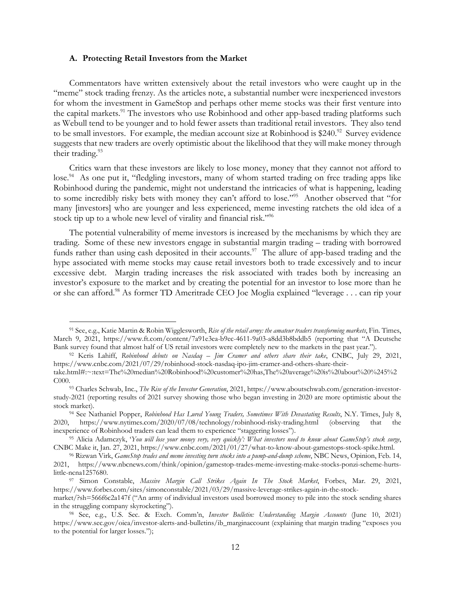#### **A. Protecting Retail Investors from the Market**

Commentators have written extensively about the retail investors who were caught up in the "meme" stock trading frenzy. As the articles note, a substantial number were inexperienced investors for whom the investment in GameStop and perhaps other meme stocks was their first venture into the capital markets.<sup>91</sup> The investors who use Robinhood and other app-based trading platforms such as Webull tend to be younger and to hold fewer assets than traditional retail investors. They also tend to be small investors. For example, the median account size at Robinhood is \$240.<sup>92</sup> Survey evidence suggests that new traders are overly optimistic about the likelihood that they will make money through their trading.<sup>93</sup>

Critics warn that these investors are likely to lose money, money that they cannot not afford to lose.<sup>94</sup> As one put it, "fledgling investors, many of whom started trading on free trading apps like Robinhood during the pandemic, might not understand the intricacies of what is happening, leading to some incredibly risky bets with money they can't afford to lose."95 Another observed that "for many [investors] who are younger and less experienced, meme investing ratchets the old idea of a stock tip up to a whole new level of virality and financial risk."<sup>96</sup>

The potential vulnerability of meme investors is increased by the mechanisms by which they are trading. Some of these new investors engage in substantial margin trading – trading with borrowed funds rather than using cash deposited in their accounts.<sup>97</sup> The allure of app-based trading and the hype associated with meme stocks may cause retail investors both to trade excessively and to incur excessive debt. Margin trading increases the risk associated with trades both by increasing an investor's exposure to the market and by creating the potential for an investor to lose more than he or she can afford.98 As former TD Ameritrade CEO Joe Moglia explained "leverage . . . can rip your

<sup>91</sup> See, e.g., Katie Martin & Robin Wigglesworth, *Rise of the retail army: the amateur traders transforming markets*, Fin. Times, March 9, 2021, https://www.ft.com/content/7a91e3ea-b9ec-4611-9a03-a8dd3b8bddb5 (reporting that "A Deutsche Bank survey found that almost half of US retail investors were completely new to the markets in the past year.").<br><sup>92</sup> Keris Lahiff, Robinbood debuts on Nasdaq – Jim Cramer and others share their take, CNBC, July 29, 2021,

https://www.cnbc.com/2021/07/29/robinhood-stock-nasdaq-ipo-jim-cramer-and-others-share-their-

take.html#:~:text=The%20median%20Robinhood%20customer%20has,The%20average%20is%20about%20%245%2 C000. 93 Charles Schwab, Inc., *The Rise of the Investor Generation*, 2021, https://www.aboutschwab.com/generation-investor-

study-2021 (reporting results of 2021 survey showing those who began investing in 2020 are more optimistic about the stock market). 94 See Nathaniel Popper, *Robinhood Has Lured Young Traders, Sometimes With Devastating Results*, N.Y. Times, July 8,

<sup>2020,</sup> https://www.nytimes.com/2020/07/08/technology/robinhood-risky-trading.html (observing that the inexperience of Robinhood traders can lead them to experience "staggering losses"). 95 Alicia Adamczyk, '*You will lose your money very, very quickly': What investors need to know about GameStop's stock surge*,

CNBC Make it, Jan. 27, 2021, https://www.cnbc.com/2021/01/27/what-to-know-about-gamestops-stock-spike.html.<br><sup>96</sup> Rizwan Virk, *GameStop trades and meme investing turn stocks into a pump-and-dump scheme*, NBC News, Opinion,

<sup>2021,</sup> https://www.nbcnews.com/think/opinion/gamestop-trades-meme-investing-make-stocks-ponzi-scheme-hurtslittle-ncna1257680. 97 Simon Constable, *Massive Margin Call Strikes Again In The Stock Market*, Forbes, Mar. 29, 2021,

https://www.forbes.com/sites/simonconstable/2021/03/29/massive-leverage-strikes-again-in-the-stock-

market/?sh=566f6c2a147f ("An army of individual investors used borrowed money to pile into the stock sending shares in the struggling company skyrocketing"). 98 See, e.g., U.S. Sec. & Exch. Comm'n, *Investor Bulletin: Understanding Margin Accounts* (June 10, 2021)

https://www.sec.gov/oiea/investor-alerts-and-bulletins/ib\_marginaccount (explaining that margin trading "exposes you to the potential for larger losses.");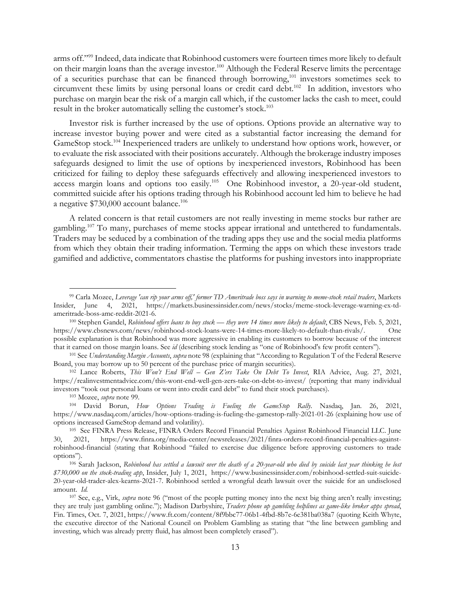arms off."99 Indeed, data indicate that Robinhood customers were fourteen times more likely to default on their margin loans than the average investor.<sup>100</sup> Although the Federal Reserve limits the percentage of a securities purchase that can be financed through borrowing,101 investors sometimes seek to circumvent these limits by using personal loans or credit card debt.<sup>102</sup> In addition, investors who purchase on margin bear the risk of a margin call which, if the customer lacks the cash to meet, could result in the broker automatically selling the customer's stock.<sup>103</sup>

Investor risk is further increased by the use of options. Options provide an alternative way to increase investor buying power and were cited as a substantial factor increasing the demand for GameStop stock.104 Inexperienced traders are unlikely to understand how options work, however, or to evaluate the risk associated with their positions accurately. Although the brokerage industry imposes safeguards designed to limit the use of options by inexperienced investors, Robinhood has been criticized for failing to deploy these safeguards effectively and allowing inexperienced investors to access margin loans and options too easily.<sup>105</sup> One Robinhood investor, a 20-year-old student, committed suicide after his options trading through his Robinhood account led him to believe he had a negative \$730,000 account balance.<sup>106</sup>

A related concern is that retail customers are not really investing in meme stocks bur rather are gambling.<sup>107</sup> To many, purchases of meme stocks appear irrational and untethered to fundamentals. Traders may be seduced by a combination of the trading apps they use and the social media platforms from which they obtain their trading information. Terming the apps on which these investors trade gamified and addictive, commentators chastise the platforms for pushing investors into inappropriate

<sup>102</sup> Lance Roberts, *This Won't End Well – Gen Z'ers Take On Debt To Invest*, RIA Advice, Aug. 27, 2021, https://realinvestmentadvice.com/this-wont-end-well-gen-zers-take-on-debt-to-invest/ (reporting that many individual investors "took out personal loans or went into credit card debt" to fund their stock purchases).<br><sup>103</sup> Mozee, *supra* note 99.<br><sup>104</sup> David Borun, *How Options Trading is Fueling the GameStop Rally*. Nasdaq, Jan. 26, 2021,

<sup>99</sup> Carla Mozee, *Leverage 'can rip your arms off,' former TD Ameritrade boss says in warning to meme-stock retail traders*, Markets Insider, June 4, 2021, https://markets.businessinsider.com/news/stocks/meme-stock-leverage-warning-ex-tdameritrade-boss-amc-reddit-2021-6. 100 Stephen Gandel, *Robinhood offers loans to buy stock — they were 14 times more likely to default*, CBS News, Feb. 5, 2021,

https://www.cbsnews.com/news/robinhood-stock-loans-were-14-times-more-likely-to-default-than-rivals/. One possible explanation is that Robinhood was more aggressive in enabling its customers to borrow because of the interest

that it earned on those margin loans. See id (describing stock lending as "one of Robinhood's few profit centers").<br><sup>101</sup> See Understanding Margin Accounts, supra note 98 (explaining that "According to Regulation T of the

https://www.nasdaq.com/articles/how-options-trading-is-fueling-the-gamestop-rally-2021-01-26 (explaining how use of options increased GameStop demand and volatility). 105 See FINRA Press Release, FINRA Orders Record Financial Penalties Against Robinhood Financial LLC. June

<sup>30, 2021,</sup> https://www.finra.org/media-center/newsreleases/2021/finra-orders-record-financial-penalties-againstrobinhood-financial (stating that Robinhood "failed to exercise due diligence before approving customers to trade options"). 106 Sarah Jackson, *Robinhood has settled a lawsuit over the death of a 20-year-old who died by suicide last year thinking he lost* 

*<sup>\$730,000</sup> on the stock-trading app*, Insider, July 1, 2021, https://www.businessinsider.com/robinhood-settled-suit-suicide-20-year-old-trader-alex-kearns-2021-7. Robinhood settled a wrongful death lawsuit over the suicide for an undisclosed amount. *Id.* 107 See, e.g., Virk, *supra* note 96 ("most of the people putting money into the next big thing aren't really investing;

they are truly just gambling online."); Madison Darbyshire, *Traders phone up gambling helplines as game-like broker apps spread*, Fin. Times, Oct. 7, 2021, https://www.ft.com/content/8f9bbc77-06b1-4fbd-8b7e-6e381ba038a7 (quoting Keith Whyte, the executive director of the National Council on Problem Gambling as stating that "the line between gambling and investing, which was already pretty fluid, has almost been completely erased").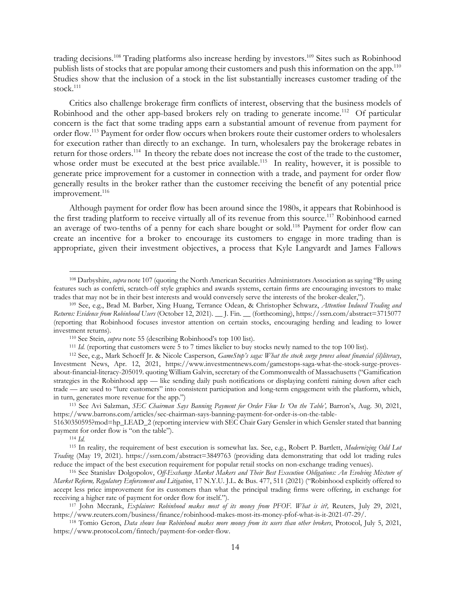trading decisions.<sup>108</sup> Trading platforms also increase herding by investors.<sup>109</sup> Sites such as Robinhood publish lists of stocks that are popular among their customers and push this information on the app.<sup>110</sup> Studies show that the inclusion of a stock in the list substantially increases customer trading of the stock. $111$ 

Critics also challenge brokerage firm conflicts of interest, observing that the business models of Robinhood and the other app-based brokers rely on trading to generate income.<sup>112</sup> Of particular concern is the fact that some trading apps earn a substantial amount of revenue from payment for order flow.113 Payment for order flow occurs when brokers route their customer orders to wholesalers for execution rather than directly to an exchange. In turn, wholesalers pay the brokerage rebates in return for those orders.114 In theory the rebate does not increase the cost of the trade to the customer, whose order must be executed at the best price available.<sup>115</sup> In reality, however, it is possible to generate price improvement for a customer in connection with a trade, and payment for order flow generally results in the broker rather than the customer receiving the benefit of any potential price improvement.<sup>116</sup>

Although payment for order flow has been around since the 1980s, it appears that Robinhood is the first trading platform to receive virtually all of its revenue from this source.<sup>117</sup> Robinhood earned an average of two-tenths of a penny for each share bought or sold.<sup>118</sup> Payment for order flow can create an incentive for a broker to encourage its customers to engage in more trading than is appropriate, given their investment objectives, a process that Kyle Langvardt and James Fallows

<sup>108</sup> Darbyshire, *supra* note 107 (quoting the North American Securities Administrators Association as saying "By using features such as confetti, scratch-off style graphics and awards systems, certain firms are encouraging investors to make trades that may not be in their best interests and would conversely serve the interests of the broker-dealer,").<br><sup>109</sup> See, e.g., Brad M. Barber, Xing Huang, Terrance Odean, & Christopher Schwarz, *Attention Induced Tradin* 

*Returns: Evidence from Robinhood Users* (October 12, 2021). \_\_ J. Fin. \_\_ (forthcoming), https://ssrn.com/abstract=3715077 (reporting that Robinhood focuses investor attention on certain stocks, encouraging herding and leading to lower investment returns).<br>
<sup>110</sup> See Stein, *supra* note 55 (describing Robinhood's top 100 list).<br>
<sup>111</sup> Id. (reporting that customers were 5 to 7 times likelier to buy stocks newly named to the top 100 list).<br>
<sup>112</sup> See, e.g.

Investment News, Apr. 12, 2021, https://www.investmentnews.com/gamestops-saga-what-the-stock-surge-provesabout-financial-literacy-205019. quoting William Galvin, secretary of the Commonwealth of Massachusetts ("Gamification strategies in the Robinhood app — like sending daily push notifications or displaying confetti raining down after each trade — are used to "lure customers" into consistent participation and long-term engagement with the platform, which, in turn, generates more revenue for the app.")

<sup>&</sup>lt;sup>113</sup> See Avi Salzman, *SEC Chairman Says Banning Payment for Order Flow Is 'On the Table', Barron's*, Aug. 30, 2021, https://www.barrons.com/articles/sec-chairman-says-banning-payment-for-order-is-on-the-table-

<sup>51630350595?</sup>mod=hp\_LEAD\_2 (reporting interview with SEC Chair Gary Gensler in which Gensler stated that banning payment for order flow is "on the table"). 114 *Id.*

<sup>115</sup> In reality, the requirement of best execution is somewhat lax. See, e.g., Robert P. Bartlett, *Modernizing Odd Lot Trading* (May 19, 2021). https://ssrn.com/abstract=3849763 (providing data demonstrating that odd lot trading rules reduce the impact of the best execution requirement for popular retail stocks on non-exchange trading venues).<br><sup>116</sup> See Stanislav Dolgopolov, Off-Exchange Market Makers and Their Best Execution Obligations: An Evolving Mi

*Market Reform, Regulatory Enforcement and Litigation*, 17 N.Y.U. J.L. & Bus. 477, 511 (2021) ("Robinhood explicitly offered to accept less price improvement for its customers than what the principal trading firms were offering, in exchange for receiving a higher rate of payment for order flow for itself."). 117 John Mccrank, *Explainer: Robinhood makes most of its money from PFOF. What is it?,* Reuters, July 29, 2021,

https://www.reuters.com/business/finance/robinhood-makes-most-its-money-pfof-what-is-it-2021-07-29/.<br><sup>118</sup> Tomio Geron, *Data shows how Robinhood makes more money from its users than other brokers*, Protocol, July 5, 2021,

https://www.protocol.com/fintech/payment-for-order-flow.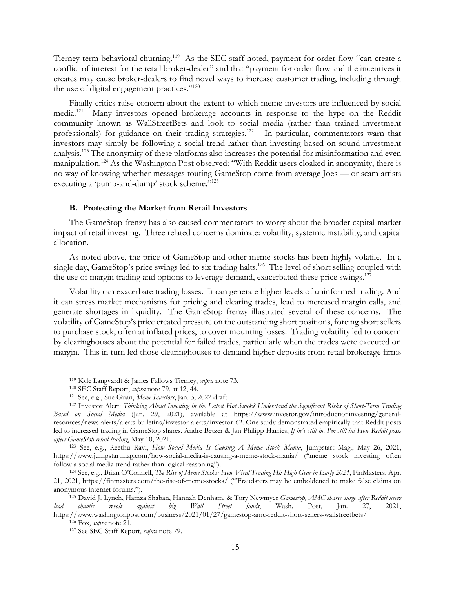Tierney term behavioral churning.<sup>119</sup> As the SEC staff noted, payment for order flow "can create a conflict of interest for the retail broker-dealer" and that "payment for order flow and the incentives it creates may cause broker-dealers to find novel ways to increase customer trading, including through the use of digital engagement practices."120

Finally critics raise concern about the extent to which meme investors are influenced by social media.121 Many investors opened brokerage accounts in response to the hype on the Reddit community known as WallStreetBets and look to social media (rather than trained investment professionals) for guidance on their trading strategies.<sup>122</sup> In particular, commentators warn that investors may simply be following a social trend rather than investing based on sound investment analysis.123 The anonymity of these platforms also increases the potential for misinformation and even manipulation.<sup>124</sup> As the Washington Post observed: "With Reddit users cloaked in anonymity, there is no way of knowing whether messages touting GameStop come from average Joes — or scam artists executing a 'pump-and-dump' stock scheme."<sup>125</sup>

#### **B. Protecting the Market from Retail Investors**

The GameStop frenzy has also caused commentators to worry about the broader capital market impact of retail investing. Three related concerns dominate: volatility, systemic instability, and capital allocation.

As noted above, the price of GameStop and other meme stocks has been highly volatile. In a single day, GameStop's price swings led to six trading halts.<sup>126</sup> The level of short selling coupled with the use of margin trading and options to leverage demand, exacerbated these price swings.<sup>127</sup>

Volatility can exacerbate trading losses. It can generate higher levels of uninformed trading. And it can stress market mechanisms for pricing and clearing trades, lead to increased margin calls, and generate shortages in liquidity. The GameStop frenzy illustrated several of these concerns. The volatility of GameStop's price created pressure on the outstanding short positions, forcing short sellers to purchase stock, often at inflated prices, to cover mounting losses. Trading volatility led to concern by clearinghouses about the potential for failed trades, particularly when the trades were executed on margin. This in turn led those clearinghouses to demand higher deposits from retail brokerage firms

<sup>&</sup>lt;sup>119</sup> Kyle Langvardt & James Fallows Tierney, *supra* note 73.<br><sup>120</sup> SEC Staff Report, *supra* note 79, at 12, 44.<br><sup>121</sup> See, e.g., Sue Guan, *Meme Investors*, Jan. 3, 2022 draft.<br><sup>122</sup> Investor Alert: *Thinking About Inve Based on Social Media* (Jan. 29, 2021), available at https://www.investor.gov/introductioninvesting/generalresources/news-alerts/alerts-bulletins/investor-alerts/investor-62. One study demonstrated empirically that Reddit posts led to increased trading in GameStop shares. Andre Betzer & Jan Philipp Harries, *If he's still in, I'm still in! How Reddit posts affect GameStop retail trading*, May 10, 2021. 123 See, e.g., Reethu Ravi, *How Social Media Is Causing A Meme Stock Mania*, Jumpstart Mag., May 26, 2021,

https://www.jumpstartmag.com/how-social-media-is-causing-a-meme-stock-mania/ ("meme stock investing often follow a social media trend rather than logical reasoning"). 124 See, e.g., Brian O'Connell, *The Rise of Meme Stocks: How Viral Trading Hit High Gear in Early 2021*, FinMasters, Apr.

<sup>21, 2021,</sup> https://finmasters.com/the-rise-of-meme-stocks/ ("'Fraudsters may be emboldened to make false claims on anonymous internet forums."). 125 David J. Lynch, Hamza Shaban, Hannah Denham, & Tory Newmyer *Gamestop, AMC shares surge after Reddit users* 

*lead chaotic revolt against big Wall Street funds*, Wash. Post, Jan. 27, 2021, https://www.washingtonpost.com/business/2021/01/27/gamestop-amc-reddit-short-sellers-wallstreetbets/ 126 Fox, *supra* note 21. 127 See SEC Staff Report, *supra* note 79.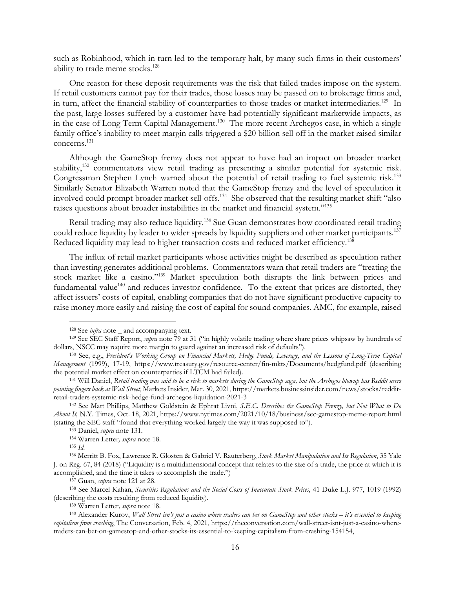such as Robinhood, which in turn led to the temporary halt, by many such firms in their customers' ability to trade meme stocks.<sup>128</sup>

One reason for these deposit requirements was the risk that failed trades impose on the system. If retail customers cannot pay for their trades, those losses may be passed on to brokerage firms and, in turn, affect the financial stability of counterparties to those trades or market intermediaries.<sup>129</sup> In the past, large losses suffered by a customer have had potentially significant marketwide impacts, as in the case of Long Term Capital Management.<sup>130</sup> The more recent Archegos case, in which a single family office's inability to meet margin calls triggered a \$20 billion sell off in the market raised similar concerns.131

Although the GameStop frenzy does not appear to have had an impact on broader market stability,<sup>132</sup> commentators view retail trading as presenting a similar potential for systemic risk. Congressman Stephen Lynch warned about the potential of retail trading to fuel systemic risk.<sup>133</sup> Similarly Senator Elizabeth Warren noted that the GameStop frenzy and the level of speculation it involved could prompt broader market sell-offs.134 She observed that the resulting market shift "also raises questions about broader instabilities in the market and financial system."135

Retail trading may also reduce liquidity.<sup>136</sup> Sue Guan demonstrates how coordinated retail trading could reduce liquidity by leader to wider spreads by liquidity suppliers and other market participants.<sup>137</sup> Reduced liquidity may lead to higher transaction costs and reduced market efficiency.<sup>138</sup>

The influx of retail market participants whose activities might be described as speculation rather than investing generates additional problems. Commentators warn that retail traders are "treating the stock market like a casino."139 Market speculation both disrupts the link between prices and fundamental value<sup>140</sup> and reduces investor confidence. To the extent that prices are distorted, they affect issuers' costs of capital, enabling companies that do not have significant productive capacity to raise money more easily and raising the cost of capital for sound companies. AMC, for example, raised

<sup>&</sup>lt;sup>128</sup> See *infra* note \_ and accompanying text.<br><sup>129</sup> See SEC Staff Report, *supra* note 79 at 31 ("in highly volatile trading where share prices whipsaw by hundreds of dollars, NSCC may require more margin to guard against an increased risk of defaults"). 130 See, e.g., *President's Working Group on Financial Markets, Hedge Funds, Leverage, and the Lessons of Long-Term Capital* 

*Management* (1999), 17-19, https://www.treasury.gov/resource-center/fin-mkts/Documents/hedgfund.pdf (describing the potential market effect on counterparties if LTCM had failed). 131 Will Daniel, *Retail trading was said to be a risk to markets during the GameStop saga, but the Archegos blowup has Reddit users* 

*pointing fingers back at Wall Street*, Markets Insider, Mar. 30, 2021, https://markets.businessinsider.com/news/stocks/redditretail-traders-systemic-risk-hedge-fund-archegos-liquidation-2021-3 132 See Matt Phillips, Matthew Goldstein & Ephrat Livni, *S.E.C. Describes the GameStop Frenzy, but Not What to Do* 

*About It,* N.Y. Times, Oct. 18, 2021, https://www.nytimes.com/2021/10/18/business/sec-gamestop-meme-report.html (stating the SEC staff "found that everything worked largely the way it was supposed to").<br>
<sup>133</sup> Daniel, *supra* note 131.<br>
<sup>134</sup> Warren Letter, *supra* note 18.<br>
<sup>135</sup> Id.<br>
<sup>136</sup> Merritt B. Fox, Lawrence R. Glosten & Gab

J. on Reg. 67, 84 (2018) ("Liquidity is a multidimensional concept that relates to the size of a trade, the price at which it is

accomplished, and the time it takes to accomplish the trade.")<br>
<sup>137</sup> Guan, *supra* note 121 at 28.<br>
<sup>138</sup> See Marcel Kahan, *Securities Regulations and the Social Costs of Inaccurate Stock Prices*, 41 Duke L.J. 977, 1019

<sup>&</sup>lt;sup>139</sup> Warren Letter, *supra* note 18.<br><sup>140</sup> Alexander Kurov, *Wall Street isn't just a casino where traders can bet on GameStop and other stocks – it's essential to keeping capitalism from crashing*, The Conversation, Feb. 4, 2021, https://theconversation.com/wall-street-isnt-just-a-casino-wheretraders-can-bet-on-gamestop-and-other-stocks-its-essential-to-keeping-capitalism-from-crashing-154154,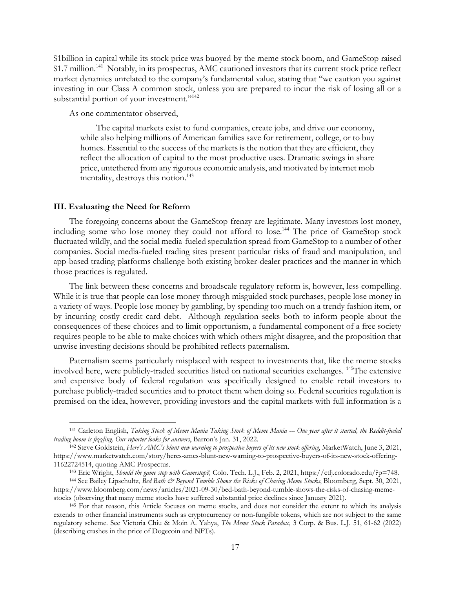\$1billion in capital while its stock price was buoyed by the meme stock boom, and GameStop raised \$1.7 million.<sup>141</sup> Notably, in its prospectus, AMC cautioned investors that its current stock price reflect market dynamics unrelated to the company's fundamental value, stating that "we caution you against investing in our Class A common stock, unless you are prepared to incur the risk of losing all or a substantial portion of your investment."<sup>142</sup>

As one commentator observed,

The capital markets exist to fund companies, create jobs, and drive our economy, while also helping millions of American families save for retirement, college, or to buy homes. Essential to the success of the markets is the notion that they are efficient, they reflect the allocation of capital to the most productive uses. Dramatic swings in share price, untethered from any rigorous economic analysis, and motivated by internet mob mentality, destroys this notion.<sup>143</sup>

#### **III. Evaluating the Need for Reform**

The foregoing concerns about the GameStop frenzy are legitimate. Many investors lost money, including some who lose money they could not afford to lose.144 The price of GameStop stock fluctuated wildly, and the social media-fueled speculation spread from GameStop to a number of other companies. Social media-fueled trading sites present particular risks of fraud and manipulation, and app-based trading platforms challenge both existing broker-dealer practices and the manner in which those practices is regulated.

The link between these concerns and broadscale regulatory reform is, however, less compelling. While it is true that people can lose money through misguided stock purchases, people lose money in a variety of ways. People lose money by gambling, by spending too much on a trendy fashion item, or by incurring costly credit card debt. Although regulation seeks both to inform people about the consequences of these choices and to limit opportunism, a fundamental component of a free society requires people to be able to make choices with which others might disagree, and the proposition that unwise investing decisions should be prohibited reflects paternalism.

Paternalism seems particularly misplaced with respect to investments that, like the meme stocks involved here, were publicly-traded securities listed on national securities exchanges. 145The extensive and expensive body of federal regulation was specifically designed to enable retail investors to purchase publicly-traded securities and to protect them when doing so. Federal securities regulation is premised on the idea, however, providing investors and the capital markets with full information is a

<sup>141</sup> Carleton English, *Taking Stock of Meme Mania Taking Stock of Meme Mania --- One year after it started, the Reddit-fueled trading boom is fizzling. Our reporter looks for answers*, Barron's Jan. 31, 2022.<br><sup>142</sup> Steve Goldstein, *Here's AMC's blunt new warning to prospective buyers of its new stock offering*, MarketWatch, June 3, 2021,

https://www.marketwatch.com/story/heres-amcs-blunt-new-warning-to-prospective-buyers-of-its-new-stock-offering-11622724514, quoting AMC Prospectus.<br><sup>143</sup> Eric Wright, *Should the game stop with Gamestop?*, Colo. Tech. L.J., Feb. 2, 2021, https://ctlj.colorado.edu/?p=748.<br><sup>144</sup> See Bailey Lipschultz, *Bed Bath & Beyond Tumble Shows* 

https://www.bloomberg.com/news/articles/2021-09-30/bed-bath-beyond-tumble-shows-the-risks-of-chasing-memestocks (observing that many meme stocks have suffered substantial price declines since January 2021). 145 For that reason, this Article focuses on meme stocks, and does not consider the extent to which its analysis

extends to other financial instruments such as cryptocurrency or non-fungible tokens, which are not subject to the same regulatory scheme. See Victoria Chiu & Moin A. Yahya, *The Meme Stock Paradox*, 3 Corp. & Bus. L.J. 51, 61-62 (2022) (describing crashes in the price of Dogecoin and NFTs).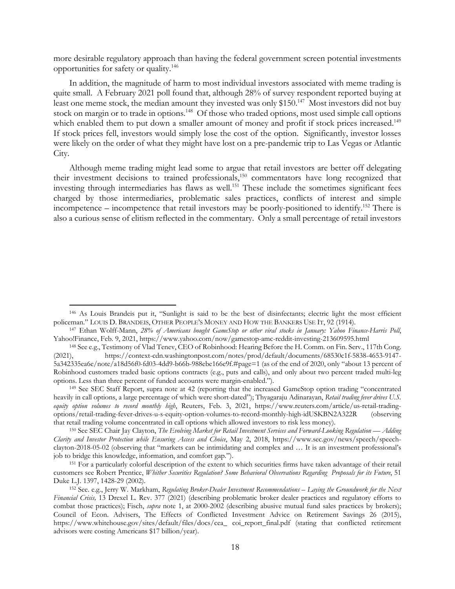more desirable regulatory approach than having the federal government screen potential investments opportunities for safety or quality.146

In addition, the magnitude of harm to most individual investors associated with meme trading is quite small. A February 2021 poll found that, although 28% of survey respondent reported buying at least one meme stock, the median amount they invested was only \$150.<sup>147</sup> Most investors did not buy stock on margin or to trade in options.<sup>148</sup> Of those who traded options, most used simple call options which enabled them to put down a smaller amount of money and profit if stock prices increased.<sup>149</sup> If stock prices fell, investors would simply lose the cost of the option. Significantly, investor losses were likely on the order of what they might have lost on a pre-pandemic trip to Las Vegas or Atlantic City.

Although meme trading might lead some to argue that retail investors are better off delegating their investment decisions to trained professionals,150 commentators have long recognized that investing through intermediaries has flaws as well.<sup>151</sup> These include the sometimes significant fees charged by those intermediaries, problematic sales practices, conflicts of interest and simple incompetence – incompetence that retail investors may be poorly-positioned to identify.152 There is also a curious sense of elitism reflected in the commentary. Only a small percentage of retail investors

<sup>146</sup> As Louis Brandeis put it, "Sunlight is said to be the best of disinfectants; electric light the most efficient

policeman." LOUIS D. BRANDEIS, OTHER PEOPLE'S MONEY AND HOW THE BANKERS USE IT, 92 (1914). 147 Ethan Wolff-Mann, *28% of Americans bought GameStop or other viral stocks in January: Yahoo Finance-Harris Poll*, Yahoo!Finance, Feb. 9, 2021, https://www.yahoo.com/now/gamestop-amc-reddit-investing-213609595.html 148 See e.g., Testimony of Vlad Tenev, CEO of Robinhood: Hearing Before the H. Comm. on Fin. Serv., 117th Cong.

<sup>(2021),</sup> https://context-cdn.washingtonpost.com/notes/prod/default/documents/68530c1f-5838-4653-9147- 5a342335ea6e/note/a18d56f0-fd03-4dd9-b66b-988ebe166e9f.#page=1 (as of the end of 2020, only "about 13 percent of Robinhood customers traded basic options contracts (e.g., puts and calls), and only about two percent traded multi-leg

options. Less than three percent of funded accounts were margin-enabled."). 149 See SEC Staff Report, supra note at 42 (reporting that the increased GameStop option trading "concentrated heavily in call options, a large percentage of which were short-dated"); Thyagaraju Adinarayan, *Retail trading fever drives U.S. equity option volumes to record monthly high*, Reuters, Feb. 3, 2021, https://www.reuters.com/article/us-retail-tradingoptions/retail-trading-fever-drives-u-s-equity-option-volumes-to-record-monthly-high-idUSKBN2A322R (observing that retail trading volume concentrated in call options which allowed investors to risk less money).<br><sup>150</sup> See SEC Chair Jay Clayton, *The Evolving Market for Retail Investment Services and Forward-Looking Regulation*— Add

*Clarity and Investor Protection while Ensuring Access and Choice*, May 2, 2018, https://www.sec.gov/news/speech/speechclayton-2018-05-02 (observing that "markets can be intimidating and complex and … It is an investment professional's job to bridge this knowledge, information, and comfort gap."). 151 For a particularly colorful description of the extent to which securities firms have taken advantage of their retail

customers see Robert Prentice, *Whither Securities Regulation? Some Behavioral Observations Regarding Proposals for its Future*, 51 Duke L.J. 1397, 1428-29 (2002).<br><sup>152</sup> See. e.g., Jerry W. Markham, *Regulating Broker-Dealer Investment Recommendations – Laying the Groundwork for the Next* 

*Financial Crisis,* 13 Drexel L. Rev. 377 (2021) (describing problematic broker dealer practices and regulatory efforts to combat those practices); Fisch, *supra* note 1, at 2000-2002 (describing abusive mutual fund sales practices by brokers); Council of Econ. Advisers, The Effects of Conflicted Investment Advice on Retirement Savings 26 (2015), https://www.whitehouse.gov/sites/default/files/docs/cea\_ coi\_report\_final.pdf (stating that conflicted retirement advisors were costing Americans \$17 billion/year).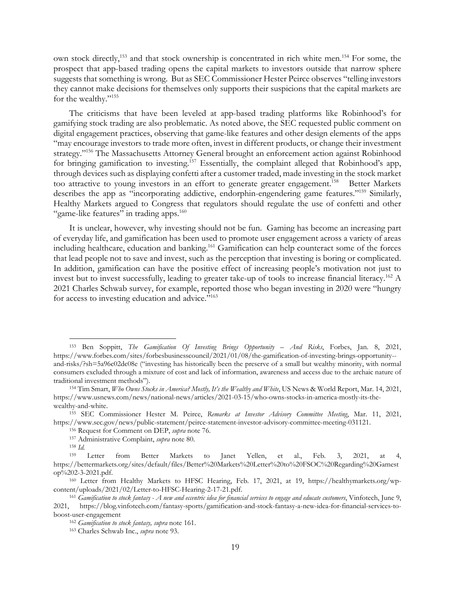own stock directly,<sup>153</sup> and that stock ownership is concentrated in rich white men.<sup>154</sup> For some, the prospect that app-based trading opens the capital markets to investors outside that narrow sphere suggests that something is wrong. But as SEC Commissioner Hester Peirce observes "telling investors they cannot make decisions for themselves only supports their suspicions that the capital markets are for the wealthy."155

The criticisms that have been leveled at app-based trading platforms like Robinhood's for gamifying stock trading are also problematic. As noted above, the SEC requested public comment on digital engagement practices, observing that game-like features and other design elements of the apps "may encourage investors to trade more often, invest in different products, or change their investment strategy."<sup>156</sup> The Massachusetts Attorney General brought an enforcement action against Robinhood for bringing gamification to investing.157 Essentially, the complaint alleged that Robinhood's app, through devices such as displaying confetti after a customer traded, made investing in the stock market too attractive to young investors in an effort to generate greater engagement.<sup>158</sup> Better Markets describes the app as "incorporating addictive, endorphin-engendering game features."159 Similarly, Healthy Markets argued to Congress that regulators should regulate the use of confetti and other "game-like features" in trading apps.<sup>160</sup>

It is unclear, however, why investing should not be fun. Gaming has become an increasing part of everyday life, and gamification has been used to promote user engagement across a variety of areas including healthcare, education and banking.<sup>161</sup> Gamification can help counteract some of the forces that lead people not to save and invest, such as the perception that investing is boring or complicated. In addition, gamification can have the positive effect of increasing people's motivation not just to invest but to invest successfully, leading to greater take-up of tools to increase financial literacy.162 A 2021 Charles Schwab survey, for example, reported those who began investing in 2020 were "hungry for access to investing education and advice."163

- 
- 

<sup>153</sup> Ben Soppitt, *The Gamification Of Investing Brings Opportunity – And Risks*, Forbes, Jan. 8, 2021, https://www.forbes.com/sites/forbesbusinesscouncil/2021/01/08/the-gamification-of-investing-brings-opportunity- and-risks/?sh=5a96c02dc08e ("investing has historically been the preserve of a small but wealthy minority, with normal consumers excluded through a mixture of cost and lack of information, awareness and access due to the archaic nature of traditional investment methods"). 154 Tim Smart, *Who Owns Stocks in America? Mostly, It's the Wealthy and White*, US News & World Report, Mar. 14, 2021,

https://www.usnews.com/news/national-news/articles/2021-03-15/who-owns-stocks-in-america-mostly-its-the-

wealthy-and-white. 155 SEC Commissioner Hester M. Peirce, *Remarks at Investor Advisory Committee Meeting*, Mar. 11, 2021, https://www.sec.gov/news/public-statement/peirce-statement-investor-advisory-committee-meeting-031121.<br>
<sup>156</sup> Request for Comment on DEP, *supra* note 76.<br>
<sup>157</sup> Administrative Complaint, *supra* note 80.<br>
<sup>158</sup> Id.<br>
<sup>159</sup>

https://bettermarkets.org/sites/default/files/Better%20Markets%20Letter%20to%20FSOC%20Regarding%20Gamest op%202-3-2021.pdf. 160 Letter from Healthy Markets to HFSC Hearing, Feb. 17, 2021, at 19, https://healthymarkets.org/wp-

content/uploads/2021/02/Letter-to-HFSC-Hearing-2-17-21.pdf. 161 *Gamification to stock fantasy - A new and eccentric idea for financial services to engage and educate customers*, Vinfotech, June 9,

<sup>2021,</sup> https://blog.vinfotech.com/fantasy-sports/gamification-and-stock-fantasy-a-new-idea-for-financial-services-toboost-user-engagement 162 *Gamification to stock fantasy, supra* note 161. 163 Charles Schwab Inc., *supra* note 93.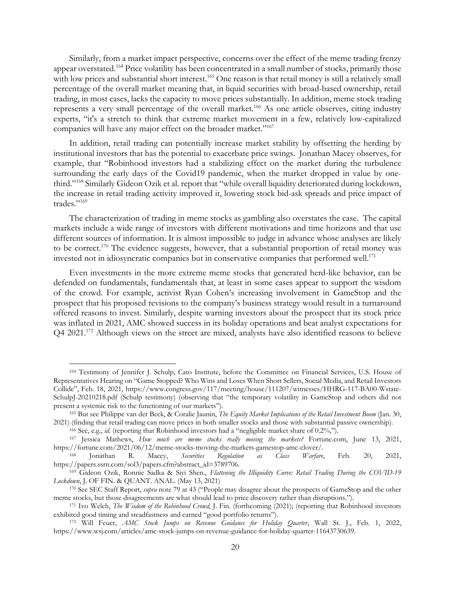Similarly, from a market impact perspective, concerns over the effect of the meme trading frenzy appear overstated.164 Price volatility has been concentrated in a small number of stocks, primarily those with low prices and substantial short interest.<sup>165</sup> One reason is that retail money is still a relatively small percentage of the overall market meaning that, in liquid securities with broad-based ownership, retail trading, in most cases, lacks the capacity to move prices substantially. In addition, meme stock trading represents a very small percentage of the overall market.<sup>166</sup> As one article observes, citing industry experts, "it's a stretch to think that extreme market movement in a few, relatively low-capitalized companies will have any major effect on the broader market."<sup>167</sup>

In addition, retail trading can potentially increase market stability by offsetting the herding by institutional investors that has the potential to exacerbate price swings. Jonathan Macey observes, for example, that "Robinhood investors had a stabilizing effect on the market during the turbulence surrounding the early days of the Covid19 pandemic, when the market dropped in value by onethird."168 Similarly Gideon Ozik et al. report that "while overall liquidity deteriorated during lockdown, the increase in retail trading activity improved it, lowering stock bid-ask spreads and price impact of trades."169

The characterization of trading in meme stocks as gambling also overstates the case. The capital markets include a wide range of investors with different motivations and time horizons and that use different sources of information. It is almost impossible to judge in advance whose analyses are likely to be correct.<sup>170</sup> The evidence suggests, however, that a substantial proportion of retail money was invested not in idiosyncratic companies but in conservative companies that performed well.<sup>171</sup>

Even investments in the more extreme meme stocks that generated herd-like behavior, can be defended on fundamentals, fundamentals that, at least in some cases appear to support the wisdom of the crowd. For example, activist Ryan Cohen's increasing involvement in GameStop and the prospect that his proposed revisions to the company's business strategy would result in a turnaround offered reasons to invest. Similarly, despite warning investors about the prospect that its stock price was inflated in 2021, AMC showed success in its holiday operations and beat analyst expectations for Q4 2021.<sup>172</sup> Although views on the street are mixed, analysts have also identified reasons to believe

<sup>164</sup> Testimony of Jennifer J. Schulp, Cato Institute, before the Committee on Financial Services, U.S. House of Representatives Hearing on "Game Stopped? Who Wins and Loses When Short Sellers, Social Media, and Retail Investors Collide", Feb. 18, 2021, https://www.congress.gov/117/meeting/house/111207/witnesses/HHRG-117-BA00-Wstate-SchulpJ-20210218.pdf (Schulp testimony) (observing that "the temporary volatility in GameStop and others did not present a systemic risk to the functioning of our markets"). 165 But see Philippe van der Beck, & Coralie Jaunin, *The Equity Market Implications of the Retail Investment Boom* (Jan. 30,

<sup>2021) (</sup>finding that retail trading can move prices in both smaller stocks and those with substantial passive ownership).<br><sup>166</sup> See, e.g., *id.* (reporting that Robinhood investors had a "negligible market share of 0.2%,").

https://fortune.com/2021/06/12/meme-stocks-moving-the-markets-gamestop-amc-clover/. 168 Jonathan R. Macey, *Securities Regulation as Class Warfare*, Feb. 20, 2021,

https://papers.ssrn.com/sol3/papers.cfm?abstract\_id=3789706. 169 Gideon Ozik, Ronnie Sadka & Siyi Shen., *Flattening the Illiquidity Curve: Retail Trading During the COVID-19* 

*Lockdown*, J. OF FIN. & QUANT. ANAL. (May 13, 2021)<br><sup>170</sup> See SEC Staff Report, *supra* note 79 at 43 ("People may disagree about the prospects of GameStop and the other

meme stocks, but those disagreements are what should lead to price discovery rather than disruptions.").<br><sup>171</sup> Ivo Welch, *The Wisdom of the Robinhood Crowd*, J. Fin. (forthcoming (2021); (reporting that Robinhood investor

exhibited good timing and steadfastness and earned "good portfolio returns"). 172 Will Feuer, *AMC Stock Jumps on Revenue Guidance for Holiday Quarter*, Wall St. J., Feb. 1, 2022,

https://www.wsj.com/articles/amc-stock-jumps-on-revenue-guidance-for-holiday-quarter-11643730639.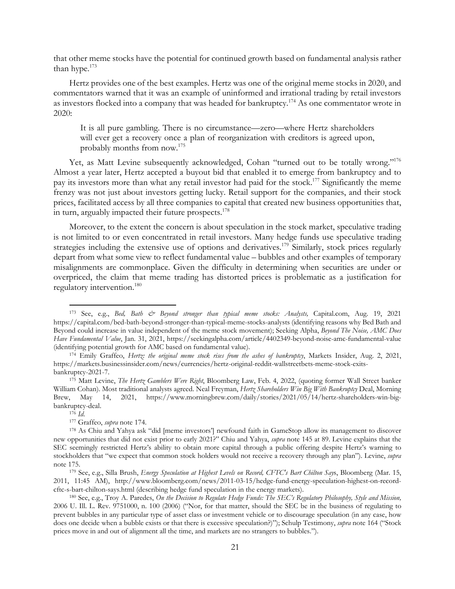that other meme stocks have the potential for continued growth based on fundamental analysis rather than hype.<sup>173</sup>

Hertz provides one of the best examples. Hertz was one of the original meme stocks in 2020, and commentators warned that it was an example of uninformed and irrational trading by retail investors as investors flocked into a company that was headed for bankruptcy.<sup>174</sup> As one commentator wrote in 2020:

It is all pure gambling. There is no circumstance—zero—where Hertz shareholders will ever get a recovery once a plan of reorganization with creditors is agreed upon, probably months from now.175

Yet, as Matt Levine subsequently acknowledged, Cohan "turned out to be totally wrong."<sup>176</sup> Almost a year later, Hertz accepted a buyout bid that enabled it to emerge from bankruptcy and to pay its investors more than what any retail investor had paid for the stock.<sup>177</sup> Significantly the meme frenzy was not just about investors getting lucky. Retail support for the companies, and their stock prices, facilitated access by all three companies to capital that created new business opportunities that, in turn, arguably impacted their future prospects.<sup>178</sup>

Moreover, to the extent the concern is about speculation in the stock market, speculative trading is not limited to or even concentrated in retail investors. Many hedge funds use speculative trading strategies including the extensive use of options and derivatives.<sup>179</sup> Similarly, stock prices regularly depart from what some view to reflect fundamental value – bubbles and other examples of temporary misalignments are commonplace. Given the difficulty in determining when securities are under or overpriced, the claim that meme trading has distorted prices is problematic as a justification for regulatory intervention.180

<sup>173</sup> See, e.g., *Bed, Bath & Beyond stronger than typical meme stocks: Analysts,* Capital.com, Aug. 19, 2021 https://capital.com/bed-bath-beyond-stronger-than-typical-meme-stocks-analysts (identifying reasons why Bed Bath and Beyond could increase in value independent of the meme stock movement); Seeking Alpha, *Beyond The Noise, AMC Does Have Fundamental Value*, Jan. 31, 2021, https://seekingalpha.com/article/4402349-beyond-noise-amc-fundamental-value (identifying potential growth for AMC based on fundamental value). 174 Emily Graffeo, *Hertz: the original meme stock rises from the ashes of bankruptcy*, Markets Insider, Aug. 2, 2021,

https://markets.businessinsider.com/news/currencies/hertz-original-reddit-wallstreetbets-meme-stock-exits-

bankruptcy-2021-7. 175 Matt Levine, *The Hertz Gamblers Were Right*, Bloomberg Law, Feb. 4, 2022, (quoting former Wall Street banker William Cohan). Most traditional analysts agreed. Neal Freyman, *Hertz Shareholders Win Big With Bankruptcy* Deal, Morning Brew, May 14, 2021, https://www.morningbrew.com/daily/stories/2021/05/14/hertz-shareholders-win-bigbankruptcy-deal. 176 *Id*. 177 Graffeo, *supra* note 174. 178 As Chiu and Yahya ask "did [meme investors'] newfound faith in GameStop allow its management to discover

new opportunities that did not exist prior to early 2021?" Chiu and Yahya, *supra* note 145 at 89. Levine explains that the SEC seemingly restricted Hertz's ability to obtain more capital through a public offering despite Hertz's warning to stockholders that "we expect that common stock holders would not receive a recovery through any plan"). Levine, *supra*

<sup>&</sup>lt;sup>179</sup> See, e.g., Silla Brush, *Energy Speculation at Highest Levels on Record, CFTC's Bart Chilton Say*s, Bloomberg (Mar. 15, 2011, 11:45 AM), http://www.bloomberg.com/news/2011-03-15/hedge-fund-energy-speculation-highest-on-recordcftc-s-bart-chilton-says.html (describing hedge fund speculation in the energy markets). 180 See, e.g., Troy A. Paredes, *On the Decision to Regulate Hedge Funds: The SEC's Regulatory Philosophy, Style and Mission,*

<sup>2006</sup> U. Ill. L. Rev. 9751000, n. 100 (2006) ("Nor, for that matter, should the SEC be in the business of regulating to prevent bubbles in any particular type of asset class or investment vehicle or to discourage speculation (in any case, how does one decide when a bubble exists or that there is excessive speculation?)"); Schulp Testimony, *supra* note 164 ("Stock prices move in and out of alignment all the time, and markets are no strangers to bubbles.").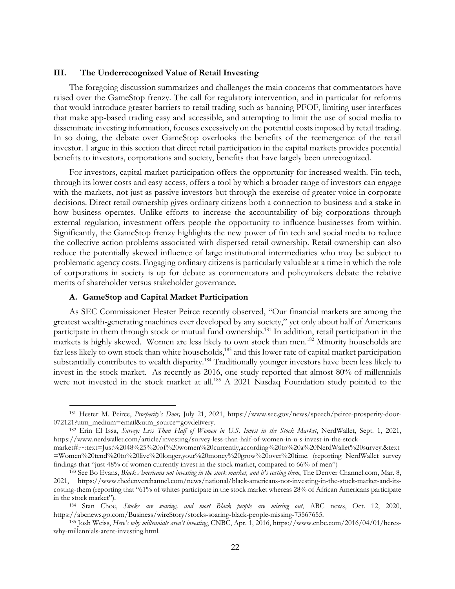### **III. The Underrecognized Value of Retail Investing**

The foregoing discussion summarizes and challenges the main concerns that commentators have raised over the GameStop frenzy. The call for regulatory intervention, and in particular for reforms that would introduce greater barriers to retail trading such as banning PFOF, limiting user interfaces that make app-based trading easy and accessible, and attempting to limit the use of social media to disseminate investing information, focuses excessively on the potential costs imposed by retail trading. In so doing, the debate over GameStop overlooks the benefits of the reemergence of the retail investor. I argue in this section that direct retail participation in the capital markets provides potential benefits to investors, corporations and society, benefits that have largely been unrecognized.

For investors, capital market participation offers the opportunity for increased wealth. Fin tech, through its lower costs and easy access, offers a tool by which a broader range of investors can engage with the markets, not just as passive investors but through the exercise of greater voice in corporate decisions. Direct retail ownership gives ordinary citizens both a connection to business and a stake in how business operates. Unlike efforts to increase the accountability of big corporations through external regulation, investment offers people the opportunity to influence businesses from within. Significantly, the GameStop frenzy highlights the new power of fin tech and social media to reduce the collective action problems associated with dispersed retail ownership. Retail ownership can also reduce the potentially skewed influence of large institutional intermediaries who may be subject to problematic agency costs. Engaging ordinary citizens is particularly valuable at a time in which the role of corporations in society is up for debate as commentators and policymakers debate the relative merits of shareholder versus stakeholder governance.

## **A. GameStop and Capital Market Participation**

As SEC Commissioner Hester Peirce recently observed, "Our financial markets are among the greatest wealth-generating machines ever developed by any society," yet only about half of Americans participate in them through stock or mutual fund ownership.<sup>181</sup> In addition, retail participation in the markets is highly skewed. Women are less likely to own stock than men.182 Minority households are far less likely to own stock than white households,<sup>183</sup> and this lower rate of capital market participation substantially contributes to wealth disparity.<sup>184</sup> Traditionally younger investors have been less likely to invest in the stock market. As recently as 2016, one study reported that almost 80% of millennials were not invested in the stock market at all.<sup>185</sup> A 2021 Nasdaq Foundation study pointed to the

<sup>181</sup> Hester M. Peirce, *Prosperity's Door,* July 21, 2021, https://www.sec.gov/news/speech/peirce-prosperity-door-072121?utm\_medium=email&utm\_source=govdelivery. 182 Erin El Issa, *Survey: Less Than Half of Women in U.S. Invest in the Stock Market*, NerdWallet, Sept. 1, 2021,

https://www.nerdwallet.com/article/investing/survey-less-than-half-of-women-in-u-s-invest-in-the-stock-

market#:~:text=Just%2048%25%20of%20women%20currently,according%20to%20a%20NerdWallet%20survey.&text =Women%20tend%20to%20live%20longer,your%20money%20grow%20over%20time. (reporting NerdWallet survey findings that "just 48% of women currently invest in the stock market, compared to 66% of men")<br><sup>183</sup> See Bo Evans, *Black Americans not investing in the stock market, and it's costing them*, The Denver Channel.com, Mar. 8

<sup>2021,</sup> https://www.thedenverchannel.com/news/national/black-americans-not-investing-in-the-stock-market-and-itscosting-them (reporting that "61% of whites participate in the stock market whereas 28% of African Americans participate in the stock market"). 184 Stan Choe, *Stocks are soaring, and most Black people are missing out*, ABC news, Oct. 12, 2020,

https://abcnews.go.com/Business/wireStory/stocks-soaring-black-people-missing-73567655. 185 Josh Weiss, *Here's why millennials aren't investing*, CNBC, Apr. 1, 2016, https://www.cnbc.com/2016/04/01/heres-

why-millennials-arent-investing.html.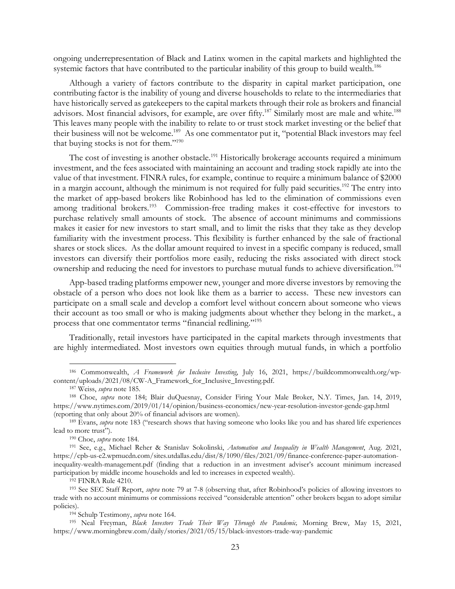ongoing underrepresentation of Black and Latinx women in the capital markets and highlighted the systemic factors that have contributed to the particular inability of this group to build wealth.<sup>186</sup>

Although a variety of factors contribute to the disparity in capital market participation, one contributing factor is the inability of young and diverse households to relate to the intermediaries that have historically served as gatekeepers to the capital markets through their role as brokers and financial advisors. Most financial advisors, for example, are over fifty.<sup>187</sup> Similarly most are male and white.<sup>188</sup> This leaves many people with the inability to relate to or trust stock market investing or the belief that their business will not be welcome.<sup>189</sup> As one commentator put it, "potential Black investors may feel that buying stocks is not for them."190

The cost of investing is another obstacle.<sup>191</sup> Historically brokerage accounts required a minimum investment, and the fees associated with maintaining an account and trading stock rapidly ate into the value of that investment. FINRA rules, for example, continue to require a minimum balance of \$2000 in a margin account, although the minimum is not required for fully paid securities.<sup>192</sup> The entry into the market of app-based brokers like Robinhood has led to the elimination of commissions even among traditional brokers.<sup>193</sup> Commission-free trading makes it cost-effective for investors to purchase relatively small amounts of stock. The absence of account minimums and commissions makes it easier for new investors to start small, and to limit the risks that they take as they develop familiarity with the investment process. This flexibility is further enhanced by the sale of fractional shares or stock slices. As the dollar amount required to invest in a specific company is reduced, small investors can diversify their portfolios more easily, reducing the risks associated with direct stock ownership and reducing the need for investors to purchase mutual funds to achieve diversification.<sup>194</sup>

App-based trading platforms empower new, younger and more diverse investors by removing the obstacle of a person who does not look like them as a barrier to access. These new investors can participate on a small scale and develop a comfort level without concern about someone who views their account as too small or who is making judgments about whether they belong in the market., a process that one commentator terms "financial redlining."195

Traditionally, retail investors have participated in the capital markets through investments that are highly intermediated. Most investors own equities through mutual funds, in which a portfolio

<sup>186</sup> Commonwealth, *A Framework for Inclusive Investing*, July 16, 2021, https://buildcommonwealth.org/wpcontent/uploads/2021/08/CW-A\_Framework\_for\_Inclusive\_Investing.pdf. 187 Weiss, *supra* note 185. 188 Choe, *supra* note 184; Blair duQuesnay, Consider Firing Your Male Broker, N.Y. Times, Jan. 14, 2019,

https://www.nytimes.com/2019/01/14/opinion/business-economics/new-year-resolution-investor-gende-gap.html (reporting that only about 20% of financial advisors are women). 189 Evans, *supra* note 183 ("research shows that having someone who looks like you and has shared life experiences

lead to more trust"). 190 Choe, *supra* note 184. 191 See, e.g., Michael Reher & Stanislav Sokolinski, *Automation and Inequality in Wealth Management*, Aug. 2021,

https://cpb-us-e2.wpmucdn.com/sites.utdallas.edu/dist/8/1090/files/2021/09/finance-conference-paper-automationinequality-wealth-management.pdf (finding that a reduction in an investment adviser's account minimum increased

participation by middle income households and led to increases in expected wealth).<br><sup>192</sup> FINRA Rule 4210.<br><sup>193</sup> See SEC Staff Report, *supra* note 79 at 7-8 (observing that, after Robinhood's policies of allowing investor trade with no account minimums or commissions received "considerable attention" other brokers began to adopt similar policies). 194 Schulp Testimony, *supra* note 164. 195 Neal Freyman, *Black Investors Trade Their Way Through the Pandemic,* Morning Brew, May 15, 2021,

https://www.morningbrew.com/daily/stories/2021/05/15/black-investors-trade-way-pandemic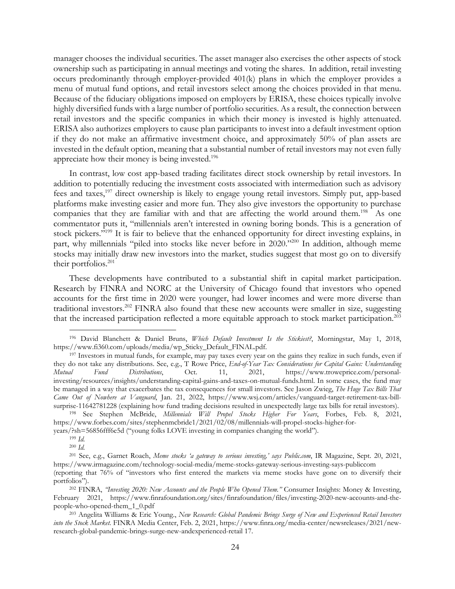manager chooses the individual securities. The asset manager also exercises the other aspects of stock ownership such as participating in annual meetings and voting the shares. In addition, retail investing occurs predominantly through employer-provided 401(k) plans in which the employer provides a menu of mutual fund options, and retail investors select among the choices provided in that menu. Because of the fiduciary obligations imposed on employers by ERISA, these choices typically involve highly diversified funds with a large number of portfolio securities. As a result, the connection between retail investors and the specific companies in which their money is invested is highly attenuated. ERISA also authorizes employers to cause plan participants to invest into a default investment option if they do not make an affirmative investment choice, and approximately 50% of plan assets are invested in the default option, meaning that a substantial number of retail investors may not even fully appreciate how their money is being invested.196

In contrast, low cost app-based trading facilitates direct stock ownership by retail investors. In addition to potentially reducing the investment costs associated with intermediation such as advisory fees and taxes,197 direct ownership is likely to engage young retail investors. Simply put, app-based platforms make investing easier and more fun. They also give investors the opportunity to purchase companies that they are familiar with and that are affecting the world around them.<sup>198</sup> As one commentator puts it, "millennials aren't interested in owning boring bonds. This is a generation of stock pickers."<sup>199</sup> It is fair to believe that the enhanced opportunity for direct investing explains, in part, why millennials "piled into stocks like never before in 2020."<sup>200</sup> In addition, although meme stocks may initially draw new investors into the market, studies suggest that most go on to diversify their portfolios.201

These developments have contributed to a substantial shift in capital market participation. Research by FINRA and NORC at the University of Chicago found that investors who opened accounts for the first time in 2020 were younger, had lower incomes and were more diverse than traditional investors.202 FINRA also found that these new accounts were smaller in size, suggesting that the increased participation reflected a more equitable approach to stock market participation.<sup>203</sup>

<sup>196</sup> David Blanchett & Daniel Bruns, *Which Default Investment Is the Stickiest?*, Morningstar, May 1, 2018, https://www.fi360.com/uploads/media/wp\_Sticky\_Default\_FINAL.pdf. 197 Investors in mutual funds, for example, may pay taxes every year on the gains they realize in such funds, even if

they do not take any distributions. See, e.g., T Rowe Price, *End-of-Year Tax Considerations for Capital Gains: Understanding Mutual Fund Distributions*, Oct. 11, 2021, https://www.troweprice.com/personalinvesting/resources/insights/understanding-capital-gains-and-taxes-on-mutual-funds.html. In some cases, the fund may be managed in a way that exacerbates the tax consequences for small investors. See Jason Zwieg, *The Huge Tax Bills That Came Out of Nowhere at Vanguard*, Jan. 21, 2022, https://www.wsj.com/articles/vanguard-target-retirement-tax-billsurprise-11642781228 (explaining how fund trading decisions resulted in unexpectedly large tax bills for retail investors).<br><sup>198</sup> See Stephen McBride, *Millennials Will Propel Stocks Higher For Years*, Forbes, Feb. 8, 2021

https://www.forbes.com/sites/stephenmcbride1/2021/02/08/millennials-will-propel-stocks-higher-for-

years/?sh=56856fff6e5d ("young folks LOVE investing in companies changing the world"). 199 *Id.*

<sup>200</sup> *Id.*

<sup>201</sup> See, e.g., Garnet Roach, *Meme stocks 'a gateway to serious investing,' says Public.com*, IR Magazine, Sept. 20, 2021, https://www.irmagazine.com/technology-social-media/meme-stocks-gateway-serious-investing-says-publiccom

<sup>(</sup>reporting that 76% of "investors who first entered the markets via meme stocks have gone on to diversify their portfolios"). 202 FINRA, *"Investing 2020: New Accounts and the People Who Opened Them."* Consumer Insights: Money & Investing,

February 2021, https://www.finrafoundation.org/sites/finrafoundation/files/investing-2020-new-accounts-and-thepeople-who-opened-them\_1\_0.pdf 203 Angelita Williams & Eric Young., *New Research: Global Pandemic Brings Surge of New and Experienced Retail Investors* 

*into the Stock Market.* FINRA Media Center, Feb. 2, 2021, https://www.finra.org/media-center/newsreleases/2021/newresearch-global-pandemic-brings-surge-new-andexperienced-retail 17.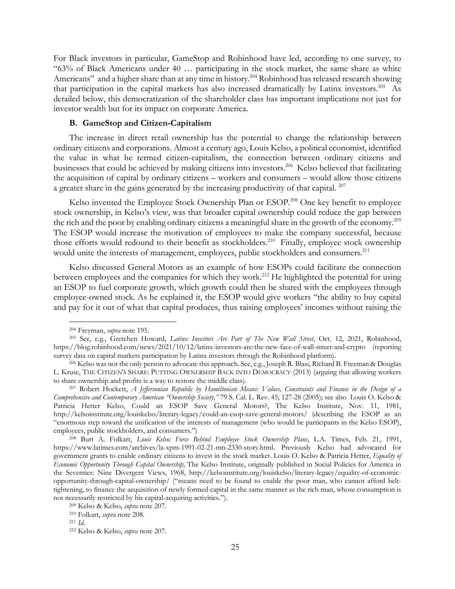For Black investors in particular, GameStop and Robinhood have led, according to one survey, to "63% of Black Americans under 40 … participating in the stock market, the same share as white Americans" and a higher share than at any time in history.<sup>204</sup> Robinhood has released research showing that participation in the capital markets has also increased dramatically by Latinx investors.205 As detailed below, this democratization of the shareholder class has important implications not just for investor wealth but for its impact on corporate America.

# **B. GameStop and Citizen-Capitalism**

The increase in direct retail ownership has the potential to change the relationship between ordinary citizens and corporations. Almost a century ago, Louis Kelso, a political economist, identified the value in what he termed citizen-capitalism, the connection between ordinary citizens and businesses that could be achieved by making citizens into investors.<sup>206</sup> Kelso believed that facilitating the acquisition of capital by ordinary citizens – workers and consumers – would allow those citizens a greater share in the gains generated by the increasing productivity of that capital. <sup>207</sup>

Kelso invented the Employee Stock Ownership Plan or ESOP.<sup>208</sup> One key benefit to employee stock ownership, in Kelso's view, was that broader capital ownership could reduce the gap between the rich and the poor by enabling ordinary citizens a meaningful share in the growth of the economy.209 The ESOP would increase the motivation of employees to make the company successful, because those efforts would redound to their benefit as stockholders.<sup>210</sup> Finally, employee stock ownership would unite the interests of management, employees, public stockholders and consumers.<sup>211</sup>

Kelso discussed General Motors as an example of how ESOPs could facilitate the connection between employees and the companies for which they work.<sup>212</sup> He highlighted the potential for using an ESOP to fuel corporate growth, which growth could then be shared with the employees through employee-owned stock. As he explained it, the ESOP would give workers "the ability to buy capital and pay for it out of what that capital produces, thus raising employees' incomes without raising the

<sup>204</sup> Freyman, *supra* note 195. 205 See, e.g., Gretchen Howard, *Latinx Investors Are Part of The New Wall Street*, Oct. 12, 2021, Robinhood, https://blog.robinhood.com/news/2021/10/12/latinx-investors-are-the-new-face-of-wall-street-and-crypto (reporting survey data on capital markets participation by Latinx investors through the Robinhood platform).<br><sup>206</sup> Kelso was not the only person to advocate this approach. See, e.g., Joseph R. Blasi, Richard B. Freeman & Douglas

L. Kruse, THE CITIZEN'S SHARE: PUTTING OWNERSHIP BACK INTO DEMOCRACY (2013) (arguing that allowing workers

to share ownership and profits is a way to restore the middle class). 207 Robert Hockett, *A Jeffersonian Republic by Hamiltonian Means: Values, Constraints and Finance in the Design of a Comprehensive and Contemporary American "Ownership Society,"* 79 S. Cal. L. Rev. 45, 127-28 (2005); see also Louis O. Kelso & Patricia Hetter Kelso, Could an ESOP Save General Motors?, The Kelso Institute, Nov. 11, 1981, http://kelsoinstitute.org/louiskelso/literary-legacy/could-an-esop-save-general-motors/ (describing the ESOP as an "enormous step toward the unification of the interests of management (who would be participants in the Kelso ESOP), employees, public stockholders, and consumers.") 208 Burt A. Folkart, *Louis Kelso; Force Behind Employee Stock Ownership Plans*, L.A. Times, Feb. 21, 1991,

https://www.latimes.com/archives/la-xpm-1991-02-21-mn-2330-story.html. Previously Kelso had advocated for government grants to enable ordinary citizens to invest in the stock market. Louis O. Kelso & Patricia Hetter, *Equality of Economic Opportunity Through Capital Ownership*, The Kelso Institute, originally published in Social Policies for America in the Seventies: Nine Divergent Views, 1968, http://kelsoinstitute.org/louiskelso/literary-legacy/equality-of-economicopportunity-through-capital-ownership/ ("means need to be found to enable the poor man, who cannot afford belttightening, to finance the acquisition of newly formed capital in the same manner as the rich man, whose consumption is not necessarily restricted by his capital-acquiring activities.").<br><sup>209</sup> Kelso & Kelso, *supra* note 207.<br><sup>210</sup> Folkart, *supra* note 208.<br><sup>211</sup> *Id.* 

<sup>212</sup> Kelso & Kelso, *supra* note 207.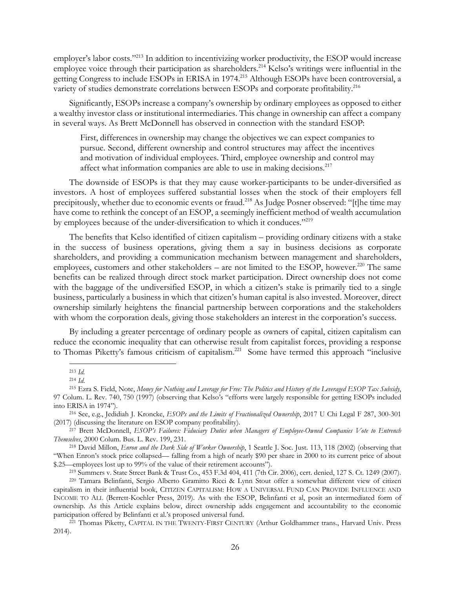employer's labor costs."<sup>213</sup> In addition to incentivizing worker productivity, the ESOP would increase employee voice through their participation as shareholders.<sup>214</sup> Kelso's writings were influential in the getting Congress to include ESOPs in ERISA in 1974.215 Although ESOPs have been controversial, a variety of studies demonstrate correlations between ESOPs and corporate profitability.<sup>216</sup>

Significantly, ESOPs increase a company's ownership by ordinary employees as opposed to either a wealthy investor class or institutional intermediaries. This change in ownership can affect a company in several ways. As Brett McDonnell has observed in connection with the standard ESOP:

First, differences in ownership may change the objectives we can expect companies to pursue. Second, different ownership and control structures may affect the incentives and motivation of individual employees. Third, employee ownership and control may affect what information companies are able to use in making decisions.<sup>217</sup>

The downside of ESOPs is that they may cause worker-participants to be under-diversified as investors. A host of employees suffered substantial losses when the stock of their employers fell precipitously, whether due to economic events or fraud.<sup>218</sup> As Judge Posner observed: "[t]he time may have come to rethink the concept of an ESOP, a seemingly inefficient method of wealth accumulation by employees because of the under-diversification to which it conduces."<sup>219</sup>

The benefits that Kelso identified of citizen capitalism – providing ordinary citizens with a stake in the success of business operations, giving them a say in business decisions as corporate shareholders, and providing a communication mechanism between management and shareholders, employees, customers and other stakeholders – are not limited to the ESOP, however.<sup>220</sup> The same benefits can be realized through direct stock market participation. Direct ownership does not come with the baggage of the undiversified ESOP, in which a citizen's stake is primarily tied to a single business, particularly a business in which that citizen's human capital is also invested. Moreover, direct ownership similarly heightens the financial partnership between corporations and the stakeholders with whom the corporation deals, giving those stakeholders an interest in the corporation's success.

By including a greater percentage of ordinary people as owners of capital, citizen capitalism can reduce the economic inequality that can otherwise result from capitalist forces, providing a response to Thomas Piketty's famous criticism of capitalism.<sup>221</sup> Some have termed this approach "inclusive

 $^{213}$  *Id.*<br><sup>214</sup> *Id.* 

<sup>214</sup> *Id*. 215 Ezra S. Field, Note, *Money for Nothing and Leverage for Free: The Politics and History of the Leveraged ESOP Tax Subsidy*, 97 Colum. L. Rev. 740, 750 (1997) (observing that Kelso's "efforts were largely responsible for getting ESOPs included

into ERISA in 1974"). 216 See, e.g., Jedidiah J. Kroncke, *ESOPs and the Limits of Fractionalized Ownership*, 2017 U Chi Legal F 287, 300-301 (2017) (discussing the literature on ESOP company profitability). 217 Brett McDonnell, *ESOP's Failures: Fiduciary Duties when Managers of Employee-Owned Companies Vote to Entrench* 

*Themselves*, 2000 Colum. Bus. L. Rev. 199, 231. 218 David Millon, *Enron and the Dark Side of Worker Ownership*, 1 Seattle J. Soc. Just. 113, 118 (2002) (observing that

<sup>&</sup>quot;When Enron's stock price collapsed— falling from a high of nearly \$90 per share in 2000 to its current price of about \$.25—employees lost up to 99% of the value of their retirement accounts").<br><sup>219</sup> Summers v. State Street Bank & Trust Co., 453 F.3d 404, 411 (7th Cir. 2006), cert. denied, 127 S. Ct. 1249 (2007).<br><sup>220</sup> Tamara Belinfanti, S

capitalism in their influential book, CITIZEN CAPITALISM: HOW A UNIVERSAL FUND CAN PROVIDE INFLUENCE AND INCOME TO ALL (Berrett-Koehler Press, 2019). As with the ESOP, Belinfanti et al, posit an intermediated form of ownership. As this Article explains below, direct ownership adds engagement and accountability to the economic participation offered by Belinfanti et al.'s proposed universal fund. 221 Thomas Piketty, CAPITAL IN THE TWENTY-FIRST CENTURY (Arthur Goldhammer trans., Harvard Univ. Press

<sup>2014).</sup>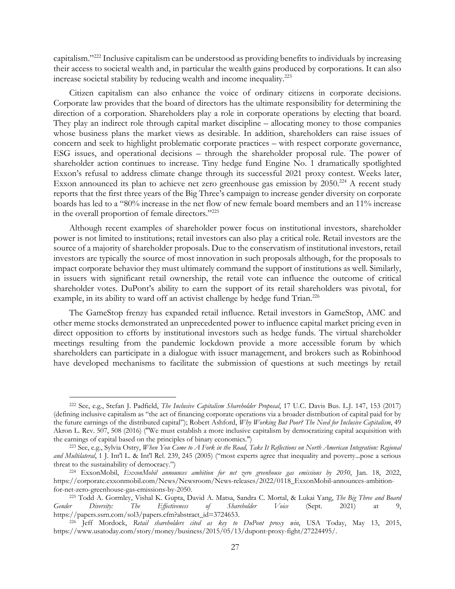capitalism."222 Inclusive capitalism can be understood as providing benefits to individuals by increasing their access to societal wealth and, in particular the wealth gains produced by corporations. It can also increase societal stability by reducing wealth and income inequality.223

Citizen capitalism can also enhance the voice of ordinary citizens in corporate decisions. Corporate law provides that the board of directors has the ultimate responsibility for determining the direction of a corporation. Shareholders play a role in corporate operations by electing that board. They play an indirect role through capital market discipline – allocating money to those companies whose business plans the market views as desirable. In addition, shareholders can raise issues of concern and seek to highlight problematic corporate practices – with respect corporate governance, ESG issues, and operational decisions – through the shareholder proposal rule. The power of shareholder action continues to increase. Tiny hedge fund Engine No. 1 dramatically spotlighted Exxon's refusal to address climate change through its successful 2021 proxy contest. Weeks later, Exxon announced its plan to achieve net zero greenhouse gas emission by 2050.<sup>224</sup> A recent study reports that the first three years of the Big Three's campaign to increase gender diversity on corporate boards has led to a "80% increase in the net flow of new female board members and an 11% increase in the overall proportion of female directors."225

Although recent examples of shareholder power focus on institutional investors, shareholder power is not limited to institutions; retail investors can also play a critical role. Retail investors are the source of a majority of shareholder proposals. Due to the conservatism of institutional investors, retail investors are typically the source of most innovation in such proposals although, for the proposals to impact corporate behavior they must ultimately command the support of institutions as well. Similarly, in issuers with significant retail ownership, the retail vote can influence the outcome of critical shareholder votes. DuPont's ability to earn the support of its retail shareholders was pivotal, for example, in its ability to ward off an activist challenge by hedge fund Trian.<sup>226</sup>

The GameStop frenzy has expanded retail influence. Retail investors in GameStop, AMC and other meme stocks demonstrated an unprecedented power to influence capital market pricing even in direct opposition to efforts by institutional investors such as hedge funds. The virtual shareholder meetings resulting from the pandemic lockdown provide a more accessible forum by which shareholders can participate in a dialogue with issuer management, and brokers such as Robinhood have developed mechanisms to facilitate the submission of questions at such meetings by retail

<sup>222</sup> See, e.g., Stefan J. Padfield, *The Inclusive Capitalism Shareholder Proposal*, 17 U.C. Davis Bus. L.J. 147, 153 (2017) (defining inclusive capitalism as "the act of financing corporate operations via a broader distribution of capital paid for by the future earnings of the distributed capital"); Robert Ashford, *Why Working But Poor? The Need for Inclusive Capitalism*, 49 Akron L. Rev. 507, 508 (2016) ("We must establish a more inclusive capitalism by democratizing capital acquisition with the earnings of capital based on the principles of binary economics.") <sup>223</sup> See, e.g., Sylvia Ostry, *When You Come to A Fork in the Road*, *Take It Reflections on North American Integration: Regional* 

*and Multilateral*, 1 J. Int'l L. & Int'l Rel. 239, 245 (2005) ("most experts agree that inequality and poverty...pose a serious threat to the sustainability of democracy.") 224 ExxonMobil, *ExxonMobil announces ambition for net zero greenhouse gas emissions by 2050*, Jan. 18, 2022,

https://corporate.exxonmobil.com/News/Newsroom/News-releases/2022/0118\_ExxonMobil-announces-ambitionfor-net-zero-greenhouse-gas-emissions-by-2050. 225 Todd A. Gormley, Vishal K. Gupta, David A. Matsa, Sandra C. Mortal, & Lukai Yang, *The Big Three and Board* 

*Gender Diversity: The Effectiveness of Shareholder Voice* (Sept. 2021) at 9, https://papers.ssrn.com/sol3/papers.cfm?abstract\_id=3724653. 226 Jeff Mordock, *Retail shareholders cited as key to DuPont proxy win*, USA Today, May 13, 2015,

https://www.usatoday.com/story/money/business/2015/05/13/dupont-proxy-fight/27224495/.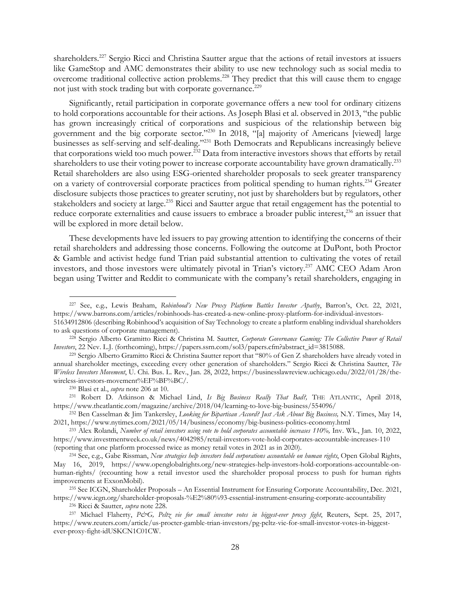shareholders.227 Sergio Ricci and Christina Sautter argue that the actions of retail investors at issuers like GameStop and AMC demonstrates their ability to use new technology such as social media to overcome traditional collective action problems.<sup>228</sup> They predict that this will cause them to engage not just with stock trading but with corporate governance.<sup>229</sup>

Significantly, retail participation in corporate governance offers a new tool for ordinary citizens to hold corporations accountable for their actions. As Joseph Blasi et al. observed in 2013, "the public has grown increasingly critical of corporations and suspicious of the relationship between big government and the big corporate sector."230 In 2018, "[a] majority of Americans [viewed] large businesses as self-serving and self-dealing."<sup>231</sup> Both Democrats and Republicans increasingly believe that corporations wield too much power.232 Data from interactive investors shows that efforts by retail shareholders to use their voting power to increase corporate accountability have grown dramatically.<sup>233</sup> Retail shareholders are also using ESG-oriented shareholder proposals to seek greater transparency on a variety of controversial corporate practices from political spending to human rights.<sup>234</sup> Greater disclosure subjects those practices to greater scrutiny, not just by shareholders but by regulators, other stakeholders and society at large.<sup>235</sup> Ricci and Sautter argue that retail engagement has the potential to reduce corporate externalities and cause issuers to embrace a broader public interest,<sup>236</sup> an issuer that will be explored in more detail below.

These developments have led issuers to pay growing attention to identifying the concerns of their retail shareholders and addressing those concerns. Following the outcome at DuPont, both Proctor & Gamble and activist hedge fund Trian paid substantial attention to cultivating the votes of retail investors, and those investors were ultimately pivotal in Trian's victory.237 AMC CEO Adam Aron began using Twitter and Reddit to communicate with the company's retail shareholders, engaging in

<sup>227</sup> See, e.g., Lewis Braham, *Robinhood's New Proxy Platform Battles Investor Apathy*, Barron's, Oct. 22, 2021, https://www.barrons.com/articles/robinhoods-has-created-a-new-online-proxy-platform-for-individual-investors-

<sup>51634912806 (</sup>describing Robinhood's acquisition of Say Technology to create a platform enabling individual shareholders to ask questions of corporate management). 228 Sergio Alberto Gramitto Ricci & Christina M. Sautter, *Corporate Governance Gaming: The Collective Power of Retail* 

*Investors*, 22 Nev. L.J. (forthcoming), https://papers.ssrn.com/sol3/papers.cfm?abstract\_id=3815088.<br><sup>229</sup> Sergio Alberto Gramitto Ricci & Christina Sautter report that "80% of Gen Z shareholders have already voted in

annual shareholder meetings, exceeding every other generation of shareholders." Sergio Ricci & Christina Sautter, *The Wireless Investors Movement*, U. Chi. Bus. L. Rev., Jan. 28, 2022, https://businesslawreview.uchicago.edu/2022/01/28/thewireless-investors-movement%EF%BF%BC/. 230 Blasi et al., *supra* note 206 at 10. 231 Robert D. Atkinson & Michael Lind, *Is Big Business Really That Bad?,* THE ATLANTIC, April 2018,

https://www.theatlantic.com/magazine/archive/2018/04/learning-to-love-big-business/554096/ 232 Ben Casselman & Jim Tankersley, *Looking for Bipartisan Accord? Just Ask About Big Business,* N.Y. Times, May 14,

<sup>2021,</sup> https://www.nytimes.com/2021/05/14/business/economy/big-business-politics-economy.html<br><sup>233</sup> Alex Rolandi, *Number of retail investors using vote to hold corporates accountable increases 110%*, Inv. Wk., Jan. 10, 202

https://www.investmentweek.co.uk/news/4042985/retail-investors-vote-hold-corporates-accountable-increases-110

<sup>(</sup>reporting that one platform processed twice as money retail votes in 2021 as in 2020). 234 See, e.g., Gabe Rissman, *New strategies help investors hold corporations accountable on human rights*, Open Global Rights, May 16, 2019, https://www.openglobalrights.org/new-strategies-help-investors-hold-corporations-accountable-onhuman-rights/ (recounting how a retail investor used the shareholder proposal process to push for human rights improvements at ExxonMobil). 235 See ICGN, Shareholder Proposals – An Essential Instrument for Ensuring Corporate Accountability, Dec. 2021,

https://www.icgn.org/shareholder-proposals-%E2%80%93-essential-instrument-ensuring-corporate-accountability<br><sup>236</sup> Ricci & Sautter, *supra* note 228.<br><sup>237</sup> Michael Flaherty, *P&G, Peltz vie for small investor votes in bigge* 

https://www.reuters.com/article/us-procter-gamble-trian-investors/pg-peltz-vie-for-small-investor-votes-in-biggestever-proxy-fight-idUSKCN1C01CW.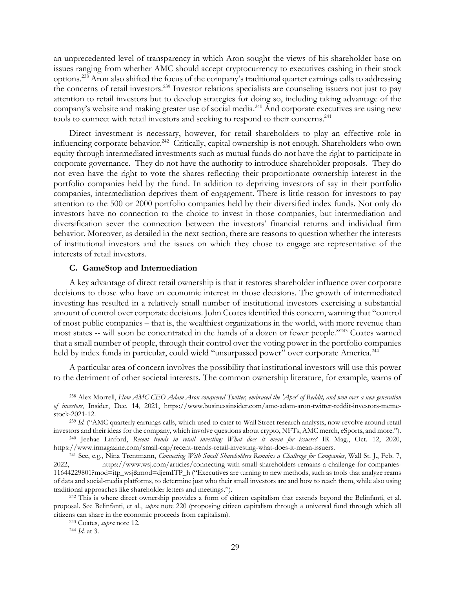an unprecedented level of transparency in which Aron sought the views of his shareholder base on issues ranging from whether AMC should accept cryptocurrency to executives cashing in their stock options.238 Aron also shifted the focus of the company's traditional quarter earnings calls to addressing the concerns of retail investors.239 Investor relations specialists are counseling issuers not just to pay attention to retail investors but to develop strategies for doing so, including taking advantage of the company's website and making greater use of social media.<sup>240</sup> And corporate executives are using new tools to connect with retail investors and seeking to respond to their concerns.<sup>241</sup>

Direct investment is necessary, however, for retail shareholders to play an effective role in influencing corporate behavior.<sup>242</sup> Critically, capital ownership is not enough. Shareholders who own equity through intermediated investments such as mutual funds do not have the right to participate in corporate governance. They do not have the authority to introduce shareholder proposals. They do not even have the right to vote the shares reflecting their proportionate ownership interest in the portfolio companies held by the fund. In addition to depriving investors of say in their portfolio companies, intermediation deprives them of engagement. There is little reason for investors to pay attention to the 500 or 2000 portfolio companies held by their diversified index funds. Not only do investors have no connection to the choice to invest in those companies, but intermediation and diversification sever the connection between the investors' financial returns and individual firm behavior. Moreover, as detailed in the next section, there are reasons to question whether the interests of institutional investors and the issues on which they chose to engage are representative of the interests of retail investors.

#### **C. GameStop and Intermediation**

A key advantage of direct retail ownership is that it restores shareholder influence over corporate decisions to those who have an economic interest in those decisions. The growth of intermediated investing has resulted in a relatively small number of institutional investors exercising a substantial amount of control over corporate decisions. John Coates identified this concern, warning that "control of most public companies – that is, the wealthiest organizations in the world, with more revenue than most states -- will soon be concentrated in the hands of a dozen or fewer people."243 Coates warned that a small number of people, through their control over the voting power in the portfolio companies held by index funds in particular, could wield "unsurpassed power" over corporate America.<sup>244</sup>

A particular area of concern involves the possibility that institutional investors will use this power to the detriment of other societal interests. The common ownership literature, for example, warns of

<sup>238</sup> Alex Morrell, *How AMC CEO Adam Aron conquered Twitter, embraced the 'Apes' of Reddit, and won over a new generation of investors*, Insider, Dec. 14, 2021, https://www.businessinsider.com/amc-adam-aron-twitter-reddit-investors-memestock-2021-12. 239 *Id.* ("AMC quarterly earnings calls, which used to cater to Wall Street research analysts, now revolve around retail

investors and their ideas for the company, which involve questions about crypto, NFTs, AMC merch, eSports, and more.").<br><sup>240</sup> Jeehae Linford, Recent trends in retail investing: What does it mean for issuers? IR Mag., Oct.

https://www.irmagazine.com/small-cap/recent-trends-retail-investing-what-does-it-mean-issuers. 241 See, e.g., Nina Trentmann, *Connecting With Small Shareholders Remains a Challenge for Companies*, Wall St. J., Feb. 7,

<sup>2022,</sup> https://www.wsj.com/articles/connecting-with-small-shareholders-remains-a-challenge-for-companies-11644229801?mod=itp\_wsj&mod=djemITP\_h ("Executives are turning to new methods, such as tools that analyze reams of data and social-media platforms, to determine just who their small investors are and how to reach them, while also using traditional approaches like shareholder letters and meetings."). 242 This is where direct ownership provides a form of citizen capitalism that extends beyond the Belinfanti, et al.

proposal. See Belinfanti, et al., *supra* note 220 (proposing citizen capitalism through a universal fund through which all citizens can share in the economic proceeds from capitalism). 243 Coates, *supra* note 12. 244 *Id*. at 3.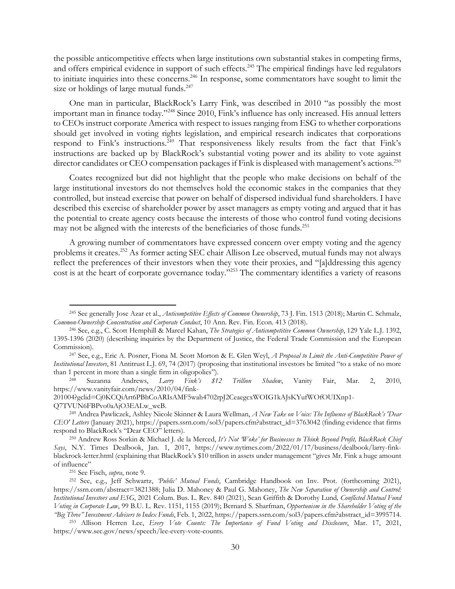the possible anticompetitive effects when large institutions own substantial stakes in competing firms, and offers empirical evidence in support of such effects.<sup>245</sup> The empirical findings have led regulators to initiate inquiries into these concerns.<sup>246</sup> In response, some commentators have sought to limit the size or holdings of large mutual funds.<sup>247</sup>

One man in particular, BlackRock's Larry Fink, was described in 2010 "as possibly the most important man in finance today."248 Since 2010, Fink's influence has only increased. His annual letters to CEOs instruct corporate America with respect to issues ranging from ESG to whether corporations should get involved in voting rights legislation, and empirical research indicates that corporations respond to Fink's instructions.<sup>249</sup> That responsiveness likely results from the fact that Fink's instructions are backed up by BlackRock's substantial voting power and its ability to vote against director candidates or CEO compensation packages if Fink is displeased with management's actions.<sup>250</sup>

Coates recognized but did not highlight that the people who make decisions on behalf of the large institutional investors do not themselves hold the economic stakes in the companies that they controlled, but instead exercise that power on behalf of dispersed individual fund shareholders. I have described this exercise of shareholder power by asset managers as empty voting and argued that it has the potential to create agency costs because the interests of those who control fund voting decisions may not be aligned with the interests of the beneficiaries of those funds.<sup>251</sup>

A growing number of commentators have expressed concern over empty voting and the agency problems it creates.<sup>252</sup> As former acting SEC chair Allison Lee observed, mutual funds may not always reflect the preferences of their investors when they vote their proxies, and "[a]ddressing this agency cost is at the heart of corporate governance today."253 The commentary identifies a variety of reasons

<sup>245</sup> See generally Jose Azar et al., *Anticompetitive Effects of Common Ownership*, 73 J. Fin. 1513 (2018); Martin C. Schmalz,

*Common-Ownership Concentration and Corporate Conduct*, 10 Ann. Rev. Fin. Econ. 413 (2018). 246 See, e.g., C. Scott Hemphill & Marcel Kahan, *The Strategies of Anticompetitive Common Ownership*, 129 Yale L.J. 1392, 1395-1396 (2020) (describing inquiries by the Department of Justice, the Federal Trade Commission and the European Commission). 247 See, e.g., Eric A. Posner, Fiona M. Scott Morton & E. Glen Weyl, *A Proposal to Limit the Anti-Competitive Power of* 

*Institutional Investors*, 81 Antitrust L.J. 69, 74 (2017) (proposing that institutional investors be limited "to a stake of no more

than 1 percent in more than a single firm in oligopolies"). 248 Suzanna Andrews, *Larry Fink's \$12 Trillion Shadow*, Vanity Fair, Mar. 2, 2010, https://www.vanityfair.com/news/2010/04/fink-

<sup>201004?</sup>gclid=Cj0KCQiArt6PBhCoARIsAMF5wah4702rpJ2CeaegcxWOIG1kAJsKYufWOfOUIXnp1-

Q7TVUN6FBPvo0aAjO3EALw\_wcB. 249 Andrea Pawliczek, Ashley Nicole Skinner & Laura Wellman, *A New Take on Voice: The Influence of BlackRock's 'Dear CEO' Letters* (January 2021), https://papers.ssrn.com/sol3/papers.cfm?abstract\_id=3763042 (finding evidence that firms respond to BlackRock's "Dear CEO" letters). 250 Andrew Ross Sorkin & Michael J. de la Merced, *It's Not 'Woke' for Businesses to Think Beyond Profit, BlackRock Chief* 

*Says*, N.Y. Times Dealbook, Jan. 1, 2017, https://www.nytimes.com/2022/01/17/business/dealbook/larry-finkblackrock-letter.html (explaining that BlackRock's \$10 trillion in assets under management "gives Mr. Fink a huge amount

of influence" 251 See Fisch, *supra*, note 9. 252 See, e.g., Jeff Schwartz, *'Public' Mutual Funds*, Cambridge Handbook on Inv. Prot. (forthcoming 2021), https://ssrn.com/abstract=3821388; Julia D. Mahoney & Paul G. Mahoney, *The New Separation of Ownership and Control: Institutional Investors and ESG*, 2021 Colum. Bus. L. Rev. 840 (2021), Sean Griffith & Dorothy Lund*, Conflicted Mutual Fund Voting in Corporate Law*, 99 B.U. L. Rev. 1151, 1155 (2019); Bernard S. Sharfman, *Opportunism in the Shareholder Voting of the* 

<sup>&</sup>quot;Big Three" Investment Advisers to Index Funds, Feb. 1, 2022, https://papers.ssrn.com/sol3/papers.cfm?abstract\_id=3995714.<br><sup>253</sup> Allison Herren Lee, Every Vote Counts: The Importance of Fund Voting and Disclosure, Mar. 17, https://www.sec.gov/news/speech/lee-every-vote-counts.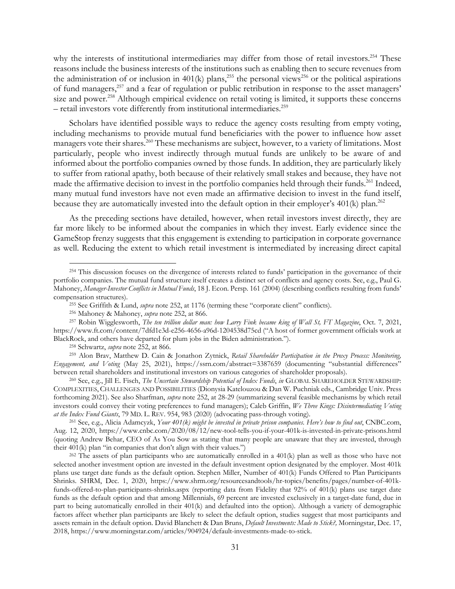why the interests of institutional intermediaries may differ from those of retail investors.<sup>254</sup> These reasons include the business interests of the institutions such as enabling then to secure revenues from the administration of or inclusion in  $401(k)$  plans,<sup>255</sup> the personal views<sup>256</sup> or the political aspirations of fund managers,257 and a fear of regulation or public retribution in response to the asset managers' size and power.<sup>258</sup> Although empirical evidence on retail voting is limited, it supports these concerns – retail investors vote differently from institutional intermediaries.259

Scholars have identified possible ways to reduce the agency costs resulting from empty voting, including mechanisms to provide mutual fund beneficiaries with the power to influence how asset managers vote their shares.<sup>260</sup> These mechanisms are subject, however, to a variety of limitations. Most particularly, people who invest indirectly through mutual funds are unlikely to be aware of and informed about the portfolio companies owned by those funds. In addition, they are particularly likely to suffer from rational apathy, both because of their relatively small stakes and because, they have not made the affirmative decision to invest in the portfolio companies held through their funds.<sup>261</sup> Indeed, many mutual fund investors have not even made an affirmative decision to invest in the fund itself, because they are automatically invested into the default option in their employer's  $401(k)$  plan.<sup>262</sup>

As the preceding sections have detailed, however, when retail investors invest directly, they are far more likely to be informed about the companies in which they invest. Early evidence since the GameStop frenzy suggests that this engagement is extending to participation in corporate governance as well. Reducing the extent to which retail investment is intermediated by increasing direct capital

<sup>254</sup> This discussion focuses on the divergence of interests related to funds' participation in the governance of their portfolio companies. The mutual fund structure itself creates a distinct set of conflicts and agency costs. See, e.g., Paul G. Mahoney, *Manager-Investor Conflicts in Mutual Funds*, 18 J. Econ. Persp. 161 (2004) (describing conflicts resulting from funds' compensation structures).<br><sup>255</sup> See Griffith & Lund, *supra* note 252, at 1176 (terming these "corporate client" conflicts).<br><sup>256</sup> Mahoney & Mahoney, *supra* note 252, at 866.<br><sup>257</sup> Robin Wigglesworth, *The ten trillion do* 

https://www.ft.com/content/7dfd1e3d-e256-4656-a96d-1204538d75cd ("A host of former government officials work at BlackRock, and others have departed for plum jobs in the Biden administration.").<br><sup>258</sup> Schwartz, *supra* note 252, at 866.<br><sup>259</sup> Alon Brav, Matthew D. Cain & Jonathon Zytnick, Retail Shareholder Participation in the Proxy

*Engagement, and Voting* (May 25, 2021), https://ssrn.com/abstract=3387659 (documenting "substantial differences" between retail shareholders and institutional investors on various categories of shareholder proposals).<br><sup>260</sup> See, e.g., Jill E. Fisch, *The Uncertain Stewardship Potential of Index Funds, in* GLOBAL SHAREHOLDER STEWARDSH

COMPLEXITIES, CHALLENGES AND POSSIBILITIES (Dionysia Katelouzou & Dan W. Puchniak eds., Cambridge Univ. Press forthcoming 2021). See also Sharfman, *supra* note 252, at 28-29 (summarizing several feasible mechanisms by which retail investors could convey their voting preferences to fund managers); Caleb Griffin, *We Three Kings: Disintermediating Voting*  at the Index Fund Giants, 79 MD. L. REV. 954, 983 (2020) (advocating pass-through voting).<br><sup>261</sup> See, e.g., Alicia Adamcyzk, *Your 401(k) might be invested in private prison companies. Here's how to find out*, CNBC.com,

Aug. 12, 2020, https://www.cnbc.com/2020/08/12/new-tool-tells-you-if-your-401k-is-invested-in-private-prisons.html (quoting Andrew Behar, CEO of As You Sow as stating that many people are unaware that they are invested, through their 401(k) plan "in companies that don't align with their values.")<br><sup>262</sup> The assets of plan participants who are automatically enrolled in a 401(k) plan as well as those who have not

selected another investment option are invested in the default investment option designated by the employer. Most 401k plans use target date funds as the default option. Stephen Miller, Number of 401(k) Funds Offered to Plan Participants Shrinks. SHRM, Dec. 1, 2020, https://www.shrm.org/resourcesandtools/hr-topics/benefits/pages/number-of-401kfunds-offered-to-plan-participants-shrinks.aspx (reporting data from Fidelity that 92% of 401(k) plans use target date funds as the default option and that among Millennials, 69 percent are invested exclusively in a target-date fund, due in part to being automatically enrolled in their 401(k) and defaulted into the option). Although a variety of demographic factors affect whether plan participants are likely to select the default option, studies suggest that most participants and assets remain in the default option. David Blanchett & Dan Bruns, *Default Investments: Made to Stick?,* Morningstar, Dec. 17, 2018, https://www.morningstar.com/articles/904924/default-investments-made-to-stick.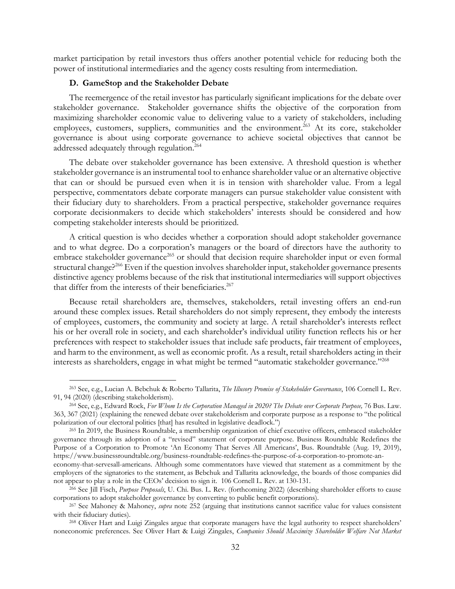market participation by retail investors thus offers another potential vehicle for reducing both the power of institutional intermediaries and the agency costs resulting from intermediation.

### **D. GameStop and the Stakeholder Debate**

The reemergence of the retail investor has particularly significant implications for the debate over stakeholder governance. Stakeholder governance shifts the objective of the corporation from maximizing shareholder economic value to delivering value to a variety of stakeholders, including employees, customers, suppliers, communities and the environment.<sup>263</sup> At its core, stakeholder governance is about using corporate governance to achieve societal objectives that cannot be addressed adequately through regulation.<sup>264</sup>

The debate over stakeholder governance has been extensive. A threshold question is whether stakeholder governance is an instrumental tool to enhance shareholder value or an alternative objective that can or should be pursued even when it is in tension with shareholder value. From a legal perspective, commentators debate corporate managers can pursue stakeholder value consistent with their fiduciary duty to shareholders. From a practical perspective, stakeholder governance requires corporate decisionmakers to decide which stakeholders' interests should be considered and how competing stakeholder interests should be prioritized.

A critical question is who decides whether a corporation should adopt stakeholder governance and to what degree. Do a corporation's managers or the board of directors have the authority to embrace stakeholder governance<sup>265</sup> or should that decision require shareholder input or even formal structural change?<sup>266</sup> Even if the question involves shareholder input, stakeholder governance presents distinctive agency problems because of the risk that institutional intermediaries will support objectives that differ from the interests of their beneficiaries.<sup>267</sup>

Because retail shareholders are, themselves, stakeholders, retail investing offers an end-run around these complex issues. Retail shareholders do not simply represent, they embody the interests of employees, customers, the community and society at large. A retail shareholder's interests reflect his or her overall role in society, and each shareholder's individual utility function reflects his or her preferences with respect to stakeholder issues that include safe products, fair treatment of employees, and harm to the environment, as well as economic profit. As a result, retail shareholders acting in their interests as shareholders, engage in what might be termed "automatic stakeholder governance."268

<sup>263</sup> See, e.g., Lucian A. Bebchuk & Roberto Tallarita, *The Illusory Promise of Stakeholder Governance*, 106 Cornell L. Rev. 91, 94 (2020) (describing stakeholderism). 264 See, e.g., Edward Rock, *For Whom Is the Corporation Managed in 2020? The Debate over Corporate Purpose,* 76 Bus. Law.

<sup>363, 367 (2021) (</sup>explaining the renewed debate over stakeholderism and corporate purpose as a response to "the political polarization of our electoral politics [that] has resulted in legislative deadlock.")<br><sup>265</sup> In 2019, the Business Roundtable, a membership organization of chief executive officers, embraced stakeholder

governance through its adoption of a "revised" statement of corporate purpose. Business Roundtable Redefines the Purpose of a Corporation to Promote 'An Economy That Serves All Americans', Bus. Roundtable (Aug. 19, 2019), https://www.businessroundtable.org/business-roundtable-redefines-the-purpose-of-a-corporation-to-promote-an-

economy-that-servesall-americans. Although some commentators have viewed that statement as a commitment by the employers of the signatories to the statement, as Bebchuk and Tallarita acknowledge, the boards of those companies did not appear to play a role in the CEOs' decision to sign it. 106 Cornell L. Rev. at 130-131. 266 See Jill Fisch, *Purpose Proposals*, U. Chi. Bus. L. Rev. (forthcoming 2022) (describing shareholder efforts to cause

corporations to adopt stakeholder governance by converting to public benefit corporations). 267 See Mahoney & Mahoney, *supra* note 252 (arguing that institutions cannot sacrifice value for values consistent

with their fiduciary duties).<br><sup>268</sup> Oliver Hart and Luigi Zingales argue that corporate managers have the legal authority to respect shareholders'

noneconomic preferences. See Oliver Hart & Luigi Zingales, *Companies Should Maximize Shareholder Welfare Not Market*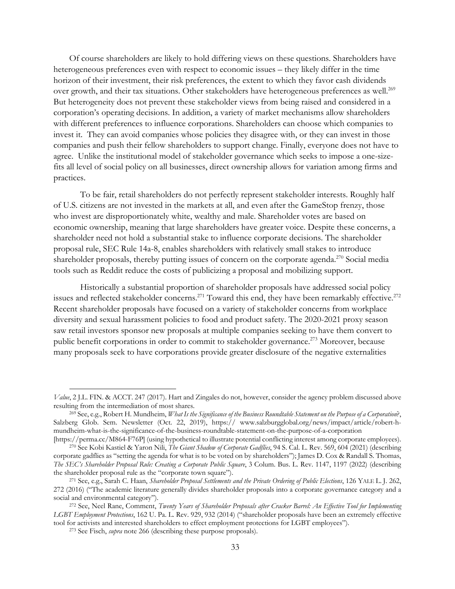Of course shareholders are likely to hold differing views on these questions. Shareholders have heterogeneous preferences even with respect to economic issues – they likely differ in the time horizon of their investment, their risk preferences, the extent to which they favor cash dividends over growth, and their tax situations. Other stakeholders have heterogeneous preferences as well.<sup>269</sup> But heterogeneity does not prevent these stakeholder views from being raised and considered in a corporation's operating decisions. In addition, a variety of market mechanisms allow shareholders with different preferences to influence corporations. Shareholders can choose which companies to invest it. They can avoid companies whose policies they disagree with, or they can invest in those companies and push their fellow shareholders to support change. Finally, everyone does not have to agree. Unlike the institutional model of stakeholder governance which seeks to impose a one-sizefits all level of social policy on all businesses, direct ownership allows for variation among firms and practices.

 To be fair, retail shareholders do not perfectly represent stakeholder interests. Roughly half of U.S. citizens are not invested in the markets at all, and even after the GameStop frenzy, those who invest are disproportionately white, wealthy and male. Shareholder votes are based on economic ownership, meaning that large shareholders have greater voice. Despite these concerns, a shareholder need not hold a substantial stake to influence corporate decisions. The shareholder proposal rule, SEC Rule 14a-8, enables shareholders with relatively small stakes to introduce shareholder proposals, thereby putting issues of concern on the corporate agenda.<sup>270</sup> Social media tools such as Reddit reduce the costs of publicizing a proposal and mobilizing support.

 Historically a substantial proportion of shareholder proposals have addressed social policy issues and reflected stakeholder concerns.<sup>271</sup> Toward this end, they have been remarkably effective.<sup>272</sup> Recent shareholder proposals have focused on a variety of stakeholder concerns from workplace diversity and sexual harassment policies to food and product safety. The 2020-2021 proxy season saw retail investors sponsor new proposals at multiple companies seeking to have them convert to public benefit corporations in order to commit to stakeholder governance.<sup>273</sup> Moreover, because many proposals seek to have corporations provide greater disclosure of the negative externalities

*Value*, 2 J.L. FIN. & ACCT. 247 (2017). Hart and Zingales do not, however, consider the agency problem discussed above resulting from the intermediation of most shares. 269 See, e.g., Robert H. Mundheim, *What Is the Significance of the Business Roundtable Statement on the Purpose of a Corporation*?,

Salzberg Glob. Sem. Newsletter (Oct. 22, 2019), https:// www.salzburgglobal.org/news/impact/article/robert-hmundheim-what-is-the-significance-of-the-business-roundtable-statement-on-the-purpose-of-a-corporation

<sup>[</sup>https://perma.cc/M864-F76P] (using hypothetical to illustrate potential conflicting interest among corporate employees).<br><sup>270</sup> See Kobi Kastiel & Yaron Nili, *The Giant Shadow of Corporate Gadflies*, 94 S. Cal. L. Rev. 56 corporate gadflies as "setting the agenda for what is to be voted on by shareholders"); James D. Cox & Randall S. Thomas, *The SEC's Shareholder Proposal Rule: Creating a Corporate Public Square*, 3 Colum. Bus. L. Rev. 1147, 1197 (2022) (describing the shareholder proposal rule as the "corporate town square"). 271 See, e.g., Sarah C. Haan, *Shareholder Proposal Settlements and the Private Ordering of Public Elections*, 126 YALE L. J. 262,

<sup>272 (2016) (&</sup>quot;The academic literature generally divides shareholder proposals into a corporate governance category and a social and environmental category"). 272 See, Neel Rane, Comment, *Twenty Years of Shareholder Proposals after Cracker Barrel: An Effective Tool for Implementing* 

*LGBT Employment Protections*, 162 U. Pa. L. Rev. 929, 932 (2014) ("shareholder proposals have been an extremely effective tool for activists and interested shareholders to effect employment protections for LGBT employees"). 273 See Fisch, *supra* note 266 (describing these purpose proposals).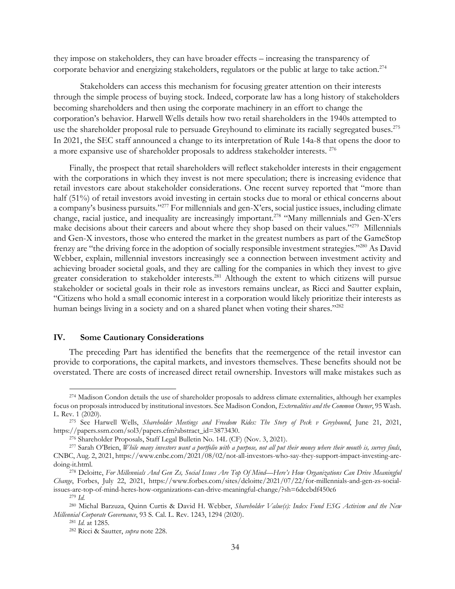they impose on stakeholders, they can have broader effects – increasing the transparency of corporate behavior and energizing stakeholders, regulators or the public at large to take action.<sup>274</sup>

 Stakeholders can access this mechanism for focusing greater attention on their interests through the simple process of buying stock. Indeed, corporate law has a long history of stakeholders becoming shareholders and then using the corporate machinery in an effort to change the corporation's behavior. Harwell Wells details how two retail shareholders in the 1940s attempted to use the shareholder proposal rule to persuade Greyhound to eliminate its racially segregated buses.<sup>275</sup> In 2021, the SEC staff announced a change to its interpretation of Rule 14a-8 that opens the door to a more expansive use of shareholder proposals to address stakeholder interests. 276

Finally, the prospect that retail shareholders will reflect stakeholder interests in their engagement with the corporations in which they invest is not mere speculation; there is increasing evidence that retail investors care about stakeholder considerations. One recent survey reported that "more than half (51%) of retail investors avoid investing in certain stocks due to moral or ethical concerns about a company's business pursuits."277 For millennials and gen-X'ers, social justice issues, including climate change, racial justice, and inequality are increasingly important.278 "Many millennials and Gen-X'ers make decisions about their careers and about where they shop based on their values."279 Millennials and Gen-X investors, those who entered the market in the greatest numbers as part of the GameStop frenzy are "the driving force in the adoption of socially responsible investment strategies."280 As David Webber, explain, millennial investors increasingly see a connection between investment activity and achieving broader societal goals, and they are calling for the companies in which they invest to give greater consideration to stakeholder interests.<sup>281</sup> Although the extent to which citizens will pursue stakeholder or societal goals in their role as investors remains unclear, as Ricci and Sautter explain, "Citizens who hold a small economic interest in a corporation would likely prioritize their interests as human beings living in a society and on a shared planet when voting their shares."<sup>282</sup>

# **IV. Some Cautionary Considerations**

The preceding Part has identified the benefits that the reemergence of the retail investor can provide to corporations, the capital markets, and investors themselves. These benefits should not be overstated. There are costs of increased direct retail ownership. Investors will make mistakes such as

<sup>&</sup>lt;sup>274</sup> Madison Condon details the use of shareholder proposals to address climate externalities, although her examples focus on proposals introduced by institutional investors. See Madison Condon, *Externalities and the Common Owner*, 95 Wash. L. Rev. 1 (2020). 275 See Harwell Wells, *Shareholder Meetings and Freedom Rides: The Story of Peck v Greyhound*, June 21, 2021,

https://papers.ssrn.com/sol3/papers.cfm?abstract\_id=3873430.<br><sup>276</sup> Shareholder Proposals, Staff Legal Bulletin No. 14L (CF) (Nov. 3, 2021).<br><sup>277</sup> Sarah O'Brien, *While many investors want a portfolio with a purpose, not al* 

CNBC, Aug. 2, 2021, https://www.cnbc.com/2021/08/02/not-all-investors-who-say-they-support-impact-investing-aredoing-it.html. 278 Deloitte, *For Millennials And Gen Zs, Social Issues Are Top Of Mind—Here's How Organizations Can Drive Meaningful* 

*Change*, Forbes, July 22, 2021, https://www.forbes.com/sites/deloitte/2021/07/22/for-millennials-and-gen-zs-socialissues-are-top-of-mind-heres-how-organizations-can-drive-meaningful-change/?sh=6dccbdf450c6 279 *Id.*

<sup>280</sup> Michal Barzuza, Quinn Curtis & David H. Webber, *Shareholder Value(s): Index Fund ESG Activism and the New Millennial Corporate Governance*, 93 S. Cal. L. Rev. 1243, 1294 (2020). 281 *Id.* at 1285. 282 Ricci & Sautter, *supra* note 228.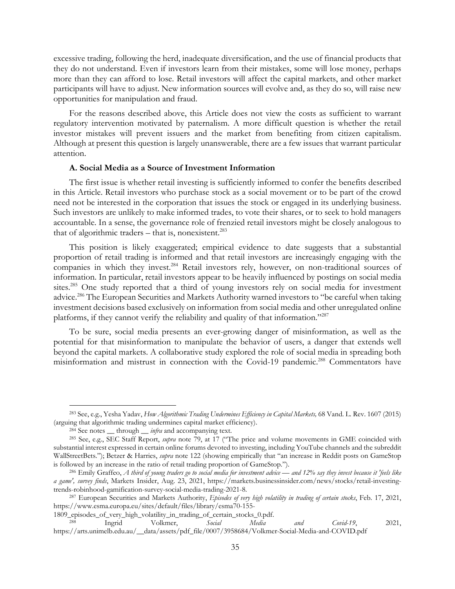excessive trading, following the herd, inadequate diversification, and the use of financial products that they do not understand. Even if investors learn from their mistakes, some will lose money, perhaps more than they can afford to lose. Retail investors will affect the capital markets, and other market participants will have to adjust. New information sources will evolve and, as they do so, will raise new opportunities for manipulation and fraud.

For the reasons described above, this Article does not view the costs as sufficient to warrant regulatory intervention motivated by paternalism. A more difficult question is whether the retail investor mistakes will prevent issuers and the market from benefiting from citizen capitalism. Although at present this question is largely unanswerable, there are a few issues that warrant particular attention.

### **A. Social Media as a Source of Investment Information**

The first issue is whether retail investing is sufficiently informed to confer the benefits described in this Article. Retail investors who purchase stock as a social movement or to be part of the crowd need not be interested in the corporation that issues the stock or engaged in its underlying business. Such investors are unlikely to make informed trades, to vote their shares, or to seek to hold managers accountable. In a sense, the governance role of frenzied retail investors might be closely analogous to that of algorithmic traders  $-$  that is, nonexistent.<sup>283</sup>

This position is likely exaggerated; empirical evidence to date suggests that a substantial proportion of retail trading is informed and that retail investors are increasingly engaging with the companies in which they invest.<sup>284</sup> Retail investors rely, however, on non-traditional sources of information. In particular, retail investors appear to be heavily influenced by postings on social media sites.285 One study reported that a third of young investors rely on social media for investment advice.286 The European Securities and Markets Authority warned investors to "be careful when taking investment decisions based exclusively on information from social media and other unregulated online platforms, if they cannot verify the reliability and quality of that information."287

To be sure, social media presents an ever-growing danger of misinformation, as well as the potential for that misinformation to manipulate the behavior of users, a danger that extends well beyond the capital markets. A collaborative study explored the role of social media in spreading both misinformation and mistrust in connection with the Covid-19 pandemic.<sup>288</sup> Commentators have

<sup>283</sup> See, e.g., Yesha Yadav, *How Algorithmic Trading Undermines Efficiency in Capital Markets,* 68 Vand. L. Rev. 1607 (2015) (arguing that algorithmic trading undermines capital market efficiency).<br><sup>284</sup> See notes \_\_ through \_\_ *infra* and accompanying text.<br><sup>285</sup> See, e.g., SEC Staff Report, *supra* note 79, at 17 ("The price and volume movemen

substantial interest expressed in certain online forums devoted to investing, including YouTube channels and the subreddit WallStreetBets."); Betzer & Harries, *supra* note 122 (showing empirically that "an increase in Reddit posts on GameStop is followed by an increase in the ratio of retail trading proportion of GameStop.").<br><sup>286</sup> Emily Graffeo, *A third of young traders go to social media for investment advice* — and 12% say they invest because it 'feels like

*a game', survey finds*, Markets Insider, Aug. 23, 2021, https://markets.businessinsider.com/news/stocks/retail-investing-

trends-robinhood-gamification-survey-social-media-trading-2021-8. 287 European Securities and Markets Authority, *Episodes of very high volatility in trading of certain stocks*, Feb. 17, 2021, https://www.esma.europa.eu/sites/default/files/library/esma70-155-

<sup>1809</sup>\_episodes\_of\_very\_high\_volatility\_in\_trading\_of\_certain\_stocks\_0.pdf. 288 Ingrid Volkmer, *Social Media and Covid-19*, 2021, https://arts.unimelb.edu.au/\_\_data/assets/pdf\_file/0007/3958684/Volkmer-Social-Media-and-COVID.pdf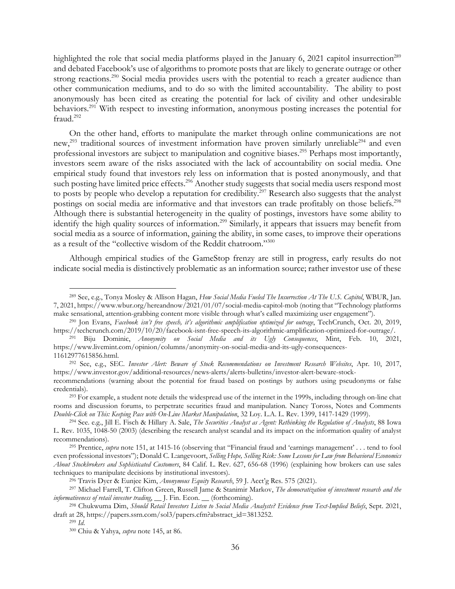highlighted the role that social media platforms played in the January 6, 2021 capitol insurrection<sup>289</sup> and debated Facebook's use of algorithms to promote posts that are likely to generate outrage or other strong reactions.<sup>290</sup> Social media provides users with the potential to reach a greater audience than other communication mediums, and to do so with the limited accountability. The ability to post anonymously has been cited as creating the potential for lack of civility and other undesirable behaviors.<sup>291</sup> With respect to investing information, anonymous posting increases the potential for fraud.<sup>292</sup>

On the other hand, efforts to manipulate the market through online communications are not new,<sup>293</sup> traditional sources of investment information have proven similarly unreliable<sup>294</sup> and even professional investors are subject to manipulation and cognitive biases.295 Perhaps most importantly, investors seem aware of the risks associated with the lack of accountability on social media. One empirical study found that investors rely less on information that is posted anonymously, and that such posting have limited price effects.<sup>296</sup> Another study suggests that social media users respond most to posts by people who develop a reputation for credibility.<sup>297</sup> Research also suggests that the analyst postings on social media are informative and that investors can trade profitably on those beliefs.<sup>298</sup> Although there is substantial heterogeneity in the quality of postings, investors have some ability to identify the high quality sources of information.299 Similarly, it appears that issuers may benefit from social media as a source of information, gaining the ability, in some cases, to improve their operations as a result of the "collective wisdom of the Reddit chatroom."300

Although empirical studies of the GameStop frenzy are still in progress, early results do not indicate social media is distinctively problematic as an information source; rather investor use of these

<sup>289</sup> See, e.g., Tonya Mosley & Allison Hagan, *How Social Media Fueled The Insurrection At The U.S. Capitol*, WBUR, Jan. 7, 2021, https://www.wbur.org/hereandnow/2021/01/07/social-media-capitol-mob (noting that "Technology platforms make sensational, attention-grabbing content more visible through what's called maximizing user engagement").<br><sup>290</sup> Jon Evans, Facebook isn't free speech, it's algorithmic amplification optimized for outrage, TechCrunch, O

https://techcrunch.com/2019/10/20/facebook-isnt-free-speech-its-algorithmic-amplification-optimized-for-outrage/. 291 Biju Dominic, *Anonymity on Social Media and its Ugly Consequences*, Mint, Feb. 10, 2021,

https://www.livemint.com/opinion/columns/anonymity-on-social-media-and-its-ugly-consequences-

<sup>11612977615856.</sup>html. 292 See, e.g., SEC. *Investor Alert: Beware of Stock Recommendations on Investment Research Websites*, Apr. 10, 2017, https://www.investor.gov/additional-resources/news-alerts/alerts-bulletins/investor-alert-beware-stock-

recommendations (warning about the potential for fraud based on postings by authors using pseudonyms or false credentials). 293 For example, a student note details the widespread use of the internet in the 1999s, including through on-line chat

rooms and discussion forums, to perpetrate securities fraud and manipulation. Nancy Toross, Notes and Comments Double-Click on This: Keeping Pace with On-Line Market Manipulation, 32 Loy. L.A. L. Rev. 1399, 1417-1429 (1999).<br><sup>294</sup> See. e.g., Jill E. Fisch & Hillary A. Sale, *The Securities Analyst as Agent: Rethinking the Regulatio* 

L. Rev. 1035, 1048-50 (2003) (describing the research analyst scandal and its impact on the information quality of analyst recommendations). 295 Prentice, *supra* note 151, at 1415-16 (observing that "Financial fraud and 'earnings management' . . . tend to fool

even professional investors"); Donald C. L:angevoort, *Selling Hope, Selling Risk: Some Lessons for Law from Behavioral Economics About Stockbrokers and Sophisticated Customers*, 84 Calif. L. Rev. 627, 656-68 (1996) (explaining how brokers can use sales techniques to manipulate decisions by institutional investors).<br><sup>296</sup> Travis Dyer & Eunjee Kim, *Anonymous Equity Research*, 59 J. Acct'g Res. 575 (2021).<br><sup>297</sup> Michael Farrell, T. Clifton Green, Russell Jame & Stanimir Ma

*informativeness of retail investor trading*, \_\_ J. Fin. Econ. \_\_ (forthcoming). 298 Chukwuma Dim, *Should Retail Investors Listen to Social Media Analysts? Evidence from Text-Implied Beliefs*, Sept. 2021,

draft at 28, https://papers.ssrn.com/sol3/papers.cfm?abstract\_id=3813252. 299 *Id*. 300 Chiu & Yahya, *supra* note 145, at 86.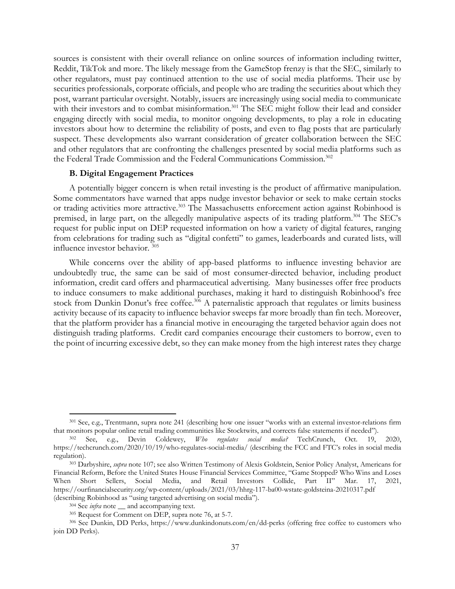sources is consistent with their overall reliance on online sources of information including twitter, Reddit, TikTok and more. The likely message from the GameStop frenzy is that the SEC, similarly to other regulators, must pay continued attention to the use of social media platforms. Their use by securities professionals, corporate officials, and people who are trading the securities about which they post, warrant particular oversight. Notably, issuers are increasingly using social media to communicate with their investors and to combat misinformation.<sup>301</sup> The SEC might follow their lead and consider engaging directly with social media, to monitor ongoing developments, to play a role in educating investors about how to determine the reliability of posts, and even to flag posts that are particularly suspect. These developments also warrant consideration of greater collaboration between the SEC and other regulators that are confronting the challenges presented by social media platforms such as the Federal Trade Commission and the Federal Communications Commission.<sup>302</sup>

# **B. Digital Engagement Practices**

A potentially bigger concern is when retail investing is the product of affirmative manipulation. Some commentators have warned that apps nudge investor behavior or seek to make certain stocks or trading activities more attractive.<sup>303</sup> The Massachusetts enforcement action against Robinhood is premised, in large part, on the allegedly manipulative aspects of its trading platform.<sup>304</sup> The SEC's request for public input on DEP requested information on how a variety of digital features, ranging from celebrations for trading such as "digital confetti" to games, leaderboards and curated lists, will influence investor behavior. 305

While concerns over the ability of app-based platforms to influence investing behavior are undoubtedly true, the same can be said of most consumer-directed behavior, including product information, credit card offers and pharmaceutical advertising. Many businesses offer free products to induce consumers to make additional purchases, making it hard to distinguish Robinhood's free stock from Dunkin Donut's free coffee.<sup>306</sup> A paternalistic approach that regulates or limits business activity because of its capacity to influence behavior sweeps far more broadly than fin tech. Moreover, that the platform provider has a financial motive in encouraging the targeted behavior again does not distinguish trading platforms. Credit card companies encourage their customers to borrow, even to the point of incurring excessive debt, so they can make money from the high interest rates they charge

<sup>301</sup> See, e.g., Trentmann, supra note 241 (describing how one issuer "works with an external investor-relations firm that monitors popular online retail trading communities like Stocktwits, and corrects false statements if needed"). 302 See, e.g., Devin Coldewey, *Who regulates social media?* TechCrunch, Oct. 19, 2020,

https://techcrunch.com/2020/10/19/who-regulates-social-media/ (describing the FCC and FTC's roles in social media regulation). 303 Darbyshire, *supra* note 107; see also Written Testimony of Alexis Goldstein, Senior Policy Analyst, Americans for

Financial Reform, Before the United States House Financial Services Committee, "Game Stopped? Who Wins and Loses When Short Sellers, Social Media, and Retail Investors Collide, Part II" Mar. 17, 2021, https://ourfinancialsecurity.org/wp-content/uploads/2021/03/hhrg-117-ba00-wstate-goldsteina-20210317.pdf

<sup>(</sup>describing Robinhood as "using targeted advertising on social media").<br><sup>304</sup> See *infra* note \_\_ and accompanying text.<br><sup>305</sup> Request for Comment on DEP, supra note 76, at 5-7.<br><sup>305</sup> See Dunkin, DD Perks, https://www.dunk join DD Perks).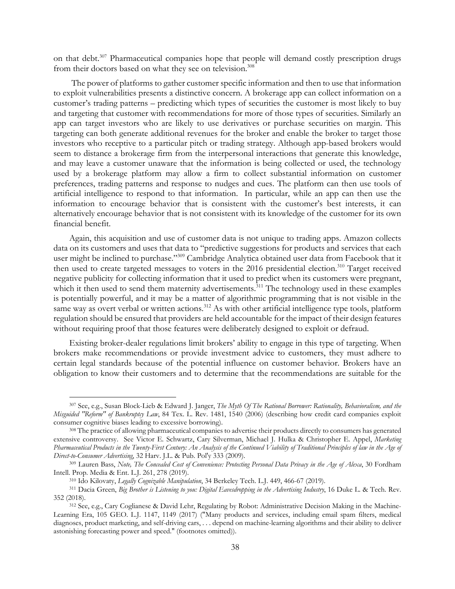on that debt.<sup>307</sup> Pharmaceutical companies hope that people will demand costly prescription drugs from their doctors based on what they see on television.<sup>308</sup>

 The power of platforms to gather customer specific information and then to use that information to exploit vulnerabilities presents a distinctive concern. A brokerage app can collect information on a customer's trading patterns – predicting which types of securities the customer is most likely to buy and targeting that customer with recommendations for more of those types of securities. Similarly an app can target investors who are likely to use derivatives or purchase securities on margin. This targeting can both generate additional revenues for the broker and enable the broker to target those investors who receptive to a particular pitch or trading strategy. Although app-based brokers would seem to distance a brokerage firm from the interpersonal interactions that generate this knowledge, and may leave a customer unaware that the information is being collected or used, the technology used by a brokerage platform may allow a firm to collect substantial information on customer preferences, trading patterns and response to nudges and cues. The platform can then use tools of artificial intelligence to respond to that information. In particular, while an app can then use the information to encourage behavior that is consistent with the customer's best interests, it can alternatively encourage behavior that is not consistent with its knowledge of the customer for its own financial benefit.

Again, this acquisition and use of customer data is not unique to trading apps. Amazon collects data on its customers and uses that data to "predictive suggestions for products and services that each user might be inclined to purchase."309 Cambridge Analytica obtained user data from Facebook that it then used to create targeted messages to voters in the 2016 presidential election.<sup>310</sup> Target received negative publicity for collecting information that it used to predict when its customers were pregnant, which it then used to send them maternity advertisements.<sup>311</sup> The technology used in these examples is potentially powerful, and it may be a matter of algorithmic programming that is not visible in the same way as overt verbal or written actions.<sup>312</sup> As with other artificial intelligence type tools, platform regulation should be ensured that providers are held accountable for the impact of their design features without requiring proof that those features were deliberately designed to exploit or defraud.

Existing broker-dealer regulations limit brokers' ability to engage in this type of targeting. When brokers make recommendations or provide investment advice to customers, they must adhere to certain legal standards because of the potential influence on customer behavior. Brokers have an obligation to know their customers and to determine that the recommendations are suitable for the

<sup>307</sup> See, e.g., Susan Block-Lieb & Edward J. Janger, *The Myth Of The Rational Borrower: Rationality, Behavioralism, and the Misguided "Reform" of Bankruptcy Law*, 84 Tex. L. Rev. 1481, 1540 (2006) (describing how credit card companies exploit consumer cognitive biases leading to excessive borrowing). 308 The practice of allowing pharmaceutical companies to advertise their products directly to consumers has generated

extensive controversy. See Victor E. Schwartz, Cary Silverman, Michael J. Hulka & Christopher E. Appel, *Marketing*  Pharmaceutical Products in the Twenty-First Century: An Analysis of the Continued Viability of Traditional Principles of law in the Age of *Direct-to-Consumer Advertising*, 32 Harv. J.L. & Pub. Pol'y 333 (2009). 309 Lauren Bass, *Note, The Concealed Cost of Convenience: Protecting Personal Data Privacy in the Age of Alexa*, 30 Fordham

Intell. Prop. Media & Ent. L.J. 261, 278 (2019).<br><sup>310</sup> Ido Kilovaty, *Legally Cognizable Manipulation*, 34 Berkeley Tech. L.J. 449, 466-67 (2019).<br><sup>311</sup> Dacia Green, *Big Brother is Listening to you: Digital Eavesdropping* 

<sup>352 (2018). 312</sup> See, e.g., Cary Coglianese & David Lehr, Regulating by Robot: Administrative Decision Making in the Machine-

Learning Era, 105 GEO. L.J. 1147, 1149 (2017) ("Many products and services, including email spam filters, medical diagnoses, product marketing, and self-driving cars, . . . depend on machine-learning algorithms and their ability to deliver astonishing forecasting power and speed." (footnotes omitted)).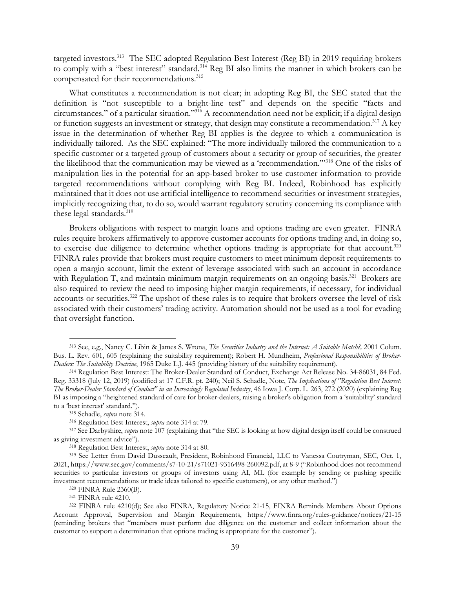targeted investors.<sup>313</sup> The SEC adopted Regulation Best Interest (Reg BI) in 2019 requiring brokers to comply with a "best interest" standard.<sup>314</sup> Reg BI also limits the manner in which brokers can be compensated for their recommendations.<sup>315</sup>

What constitutes a recommendation is not clear; in adopting Reg BI, the SEC stated that the definition is "not susceptible to a bright-line test" and depends on the specific "facts and circumstances." of a particular situation."316 A recommendation need not be explicit; if a digital design or function suggests an investment or strategy, that design may constitute a recommendation.<sup>317</sup> A key issue in the determination of whether Reg BI applies is the degree to which a communication is individually tailored. As the SEC explained: "The more individually tailored the communication to a specific customer or a targeted group of customers about a security or group of securities, the greater the likelihood that the communication may be viewed as a 'recommendation.'"318 One of the risks of manipulation lies in the potential for an app-based broker to use customer information to provide targeted recommendations without complying with Reg BI. Indeed, Robinhood has explicitly maintained that it does not use artificial intelligence to recommend securities or investment strategies, implicitly recognizing that, to do so, would warrant regulatory scrutiny concerning its compliance with these legal standards.<sup>319</sup>

Brokers obligations with respect to margin loans and options trading are even greater. FINRA rules require brokers affirmatively to approve customer accounts for options trading and, in doing so, to exercise due diligence to determine whether options trading is appropriate for that account.<sup>320</sup> FINRA rules provide that brokers must require customers to meet minimum deposit requirements to open a margin account, limit the extent of leverage associated with such an account in accordance with Regulation T, and maintain minimum margin requirements on an ongoing basis.<sup>321</sup> Brokers are also required to review the need to imposing higher margin requirements, if necessary, for individual accounts or securities.<sup>322</sup> The upshot of these rules is to require that brokers oversee the level of risk associated with their customers' trading activity. Automation should not be used as a tool for evading that oversight function.

<sup>313</sup> See, e.g., Nancy C. Libin & James S. Wrona, *The Securities Industry and the Internet: A Suitable Match?,* 2001 Colum. Bus. L. Rev. 601, 605 (explaining the suitability requirement); Robert H. Mundheim, *Professional Responsibilities of Broker-Dealers: The Suitability Doctrine*, 1965 Duke L.J. 445 (providing history of the suitability requirement). 314 Regulation Best Interest: The Broker-Dealer Standard of Conduct, Exchange Act Release No. 34-86031, 84 Fed.

Reg. 33318 (July 12, 2019) (codified at 17 C.F.R. pt. 240); Neil S. Schadle, Note, *The Implications of "Regulation Best Interest: The Broker-Dealer Standard of Conduct" in an Increasingly Regulated Industry*, 46 Iowa J. Corp. L. 263, 272 (2020) (explaining Reg BI as imposing a "heightened standard of care for broker-dealers, raising a broker's obligation from a 'suitability' standard

to a 'best interest' standard.").<br><sup>315</sup> Schadle, *supra* note 314.<br><sup>316</sup> Regulation Best Interest, *supra* note 314 at 79.<br><sup>317</sup> See Darbyshire, *supra* note 107 (explaining that "the SEC is looking at how digital design i

as giving investment advice").<br><sup>318</sup> Regulation Best Interest, *supra* note 314 at 80.<br><sup>319</sup> See Letter from David Dusseault, President, Robinhood Financial, LLC to Vanessa Coutryman, SEC, Oct. 1, 2021, https://www.sec.gov/comments/s7-10-21/s71021-9316498-260092.pdf, at 8-9 ("Robinhood does not recommend securities to particular investors or groups of investors using AI, ML (for example by sending or pushing specific investment recommendations or trade ideas tailored to specific customers), or any other method.")<br><sup>320</sup> FINRA Rule 2360(B).<br><sup>321</sup> FINRA rule 4210.<br><sup>322</sup> FINRA rule 4210(d); See also FINRA, Regulatory Notice 21-15, FINRA Re

Account Approval, Supervision and Margin Requirements, https://www.finra.org/rules-guidance/notices/21-15 (reminding brokers that "members must perform due diligence on the customer and collect information about the customer to support a determination that options trading is appropriate for the customer").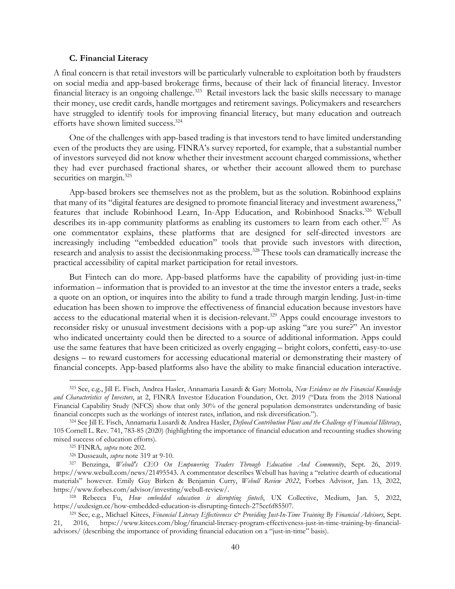#### **C. Financial Literacy**

A final concern is that retail investors will be particularly vulnerable to exploitation both by fraudsters on social media and app-based brokerage firms, because of their lack of financial literacy. Investor financial literacy is an ongoing challenge.<sup>323</sup> Retail investors lack the basic skills necessary to manage their money, use credit cards, handle mortgages and retirement savings. Policymakers and researchers have struggled to identify tools for improving financial literacy, but many education and outreach efforts have shown limited success.324

One of the challenges with app-based trading is that investors tend to have limited understanding even of the products they are using. FINRA's survey reported, for example, that a substantial number of investors surveyed did not know whether their investment account charged commissions, whether they had ever purchased fractional shares, or whether their account allowed them to purchase securities on margin.<sup>325</sup>

App-based brokers see themselves not as the problem, but as the solution. Robinhood explains that many of its "digital features are designed to promote financial literacy and investment awareness," features that include Robinhood Learn, In-App Education, and Robinhood Snacks.<sup>326</sup> Webull describes its in-app community platforms as enabling its customers to learn from each other.<sup>327</sup> As one commentator explains, these platforms that are designed for self-directed investors are increasingly including "embedded education" tools that provide such investors with direction, research and analysis to assist the decision making process.<sup>328</sup> These tools can dramatically increase the practical accessibility of capital market participation for retail investors.

But Fintech can do more. App-based platforms have the capability of providing just-in-time information – information that is provided to an investor at the time the investor enters a trade, seeks a quote on an option, or inquires into the ability to fund a trade through margin lending. Just-in-time education has been shown to improve the effectiveness of financial education because investors have access to the educational material when it is decision-relevant.<sup>329</sup> Apps could encourage investors to reconsider risky or unusual investment decisions with a pop-up asking "are you sure?" An investor who indicated uncertainty could then be directed to a source of additional information. Apps could use the same features that have been criticized as overly engaging – bright colors, confetti, easy-to-use designs – to reward customers for accessing educational material or demonstrating their mastery of financial concepts. App-based platforms also have the ability to make financial education interactive.

<sup>323</sup> See, e.g., Jill E. Fisch, Andrea Hasler, Annamaria Lusardi & Gary Mottola, *New Evidence on the Financial Knowledge and Characteristics of Investors*, at 2, FINRA Investor Education Foundation, Oct. 2019 ("Data from the 2018 National Financial Capability Study (NFCS) show that only 30% of the general population demonstrates understanding of basic financial concepts such as the workings of interest rates, inflation, and risk diversification.").<br><sup>324</sup> See Jill E. Fisch, Annamaria Lusardi & Andrea Hasler, *Defined Contribution Plans and the Challenge of Financial Illi* 

<sup>105</sup> Cornell L. Rev. 741, 783-85 (2020) (highlighting the importance of financial education and recounting studies showing mixed success of education efforts).<br><sup>325</sup> FINRA, *supra* note 202.<br><sup>326</sup> Dusseault, *supra* note 319 at 9-10.<br><sup>327</sup> Benzinga, *Webull's CEO On Empowering Traders Through Education And Community*, Sept. 26, 2019.

https://www.webull.com/news/21495543. A commentator describes Webull has having a "relative dearth of educational materials" however. Emily Guy Birken & Benjamin Curry, *Webull Review 2022*, Forbes Advisor, Jan. 13, 2022, https://www.forbes.com/advisor/investing/webull-review/. 328 Rebecca Fu, *How embedded education is disrupting fintech*, UX Collective, Medium, Jan. 5, 2022,

https://uxdesign.cc/how-embedded-education-is-disrupting-fintech-275cc6f85507. 329 See, e.g., Michael Kitces, *Financial Literacy Effectiveness & Providing Just-In-Time Training By Financial Advisors*, Sept.

<sup>21, 2016,</sup> https://www.kitces.com/blog/financial-literacy-program-effectiveness-just-in-time-training-by-financialadvisors/ (describing the importance of providing financial education on a "just-in-time" basis).